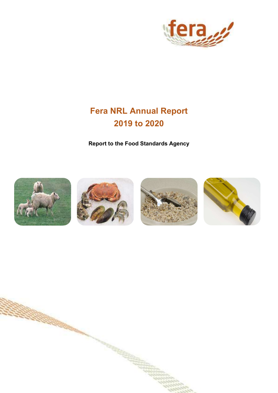

# Fera NRL Annual Report 2019 to 2020

Report to the Food Standards Agency



ŧ

**CONTRACTOR COMMUNISTIC**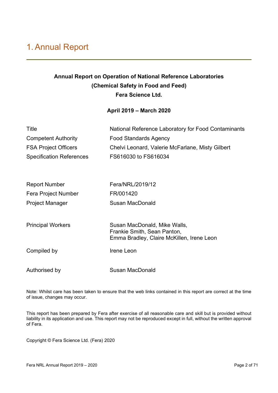## 1. Annual Report

### Annual Report on Operation of National Reference Laboratories (Chemical Safety in Food and Feed) Fera Science Ltd.

#### April 2019 – March 2020

| Title                           | National Reference Laboratory for Food Contaminants                      |
|---------------------------------|--------------------------------------------------------------------------|
| <b>Competent Authority</b>      | <b>Food Standards Agency</b>                                             |
| <b>FSA Project Officers</b>     | Chelvi Leonard, Valerie McFarlane, Misty Gilbert                         |
| <b>Specification References</b> | FS616030 to FS616034                                                     |
|                                 |                                                                          |
| <b>Report Number</b>            | Fera/NRL/2019/12                                                         |
| Fera Project Number             | FR/001420                                                                |
| <b>Project Manager</b>          | <b>Susan MacDonald</b>                                                   |
|                                 |                                                                          |
| <b>Principal Workers</b>        | Susan MacDonald, Mike Walls,                                             |
|                                 | Frankie Smith, Sean Panton,<br>Emma Bradley, Claire McKillen, Irene Leon |
|                                 |                                                                          |
| Compiled by                     | Irene Leon                                                               |
| Authorised by                   | <b>Susan MacDonald</b>                                                   |
|                                 |                                                                          |

Note: Whilst care has been taken to ensure that the web links contained in this report are correct at the time of issue, changes may occur.

This report has been prepared by Fera after exercise of all reasonable care and skill but is provided without liability in its application and use. This report may not be reproduced except in full, without the written approval of Fera.

Copyright © Fera Science Ltd. (Fera) 2020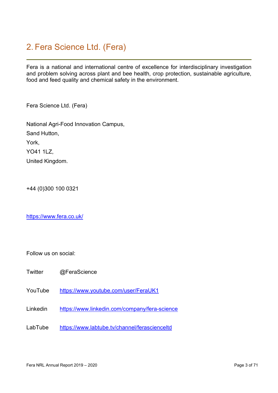## 2. Fera Science Ltd. (Fera)

Fera is a national and international centre of excellence for interdisciplinary investigation and problem solving across plant and bee health, crop protection, sustainable agriculture, food and feed quality and chemical safety in the environment.

Fera Science Ltd. (Fera)

National Agri-Food Innovation Campus, Sand Hutton, York, YO41 1LZ, United Kingdom.

+44 (0)300 100 0321

https://www.fera.co.uk/

Follow us on social:

- Twitter @FeraScience
- YouTube https://www.youtube.com/user/FeraUK1
- Linkedin https://www.linkedin.com/company/fera-science
- LabTube https://www.labtube.tv/channel/ferascienceltd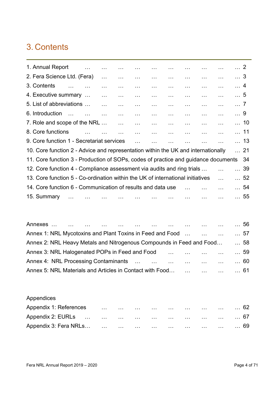## 3. Contents

| 1. Annual Report                                                                   | $\mathbf{1}$             |                                    |           |                                        | $\sim 100$                             | $\sim 100$                    |            |                                 | $\cdots$      | $\ldots$ 2 |             |
|------------------------------------------------------------------------------------|--------------------------|------------------------------------|-----------|----------------------------------------|----------------------------------------|-------------------------------|------------|---------------------------------|---------------|------------|-------------|
| 2. Fera Science Ltd. (Fera)                                                        |                          |                                    | $\ldots$  | $\ddotsc$                              | $\sim 100$                             | <b>Contractor</b><br>$\ldots$ |            | $\ddotsc$                       | $\sim 100$    | $\ldots$ 3 |             |
| 3. Contents<br>$\mathbf{r}$                                                        |                          |                                    | $\ddotsc$ | $\sim 100$<br><b>Contract Contract</b> |                                        | <b>Contract Contract</b>      | $\sim 100$ | $\cdots$                        | $\cdots$      | $\ldots$ 4 |             |
| 4. Executive summary                                                               | <b>Contract Contract</b> |                                    | $\ldots$  | $\ddotsc$                              | $\ddotsc$                              | $\ddotsc$                     | $\sim 100$ | $\ddotsc$                       | $\ddotsc$     | $\ldots 5$ |             |
| 5. List of abbreviations                                                           | <b>Contract Contract</b> |                                    |           | $\ldots$                               | $\ldots$                               | $\sim 100$                    | $\ddotsc$  | $\ldots$                        | $\sim$ .      | $\ldots$ 7 |             |
| 6. Introduction<br><b>Contract Contract</b>                                        | <b>Search Contract</b>   |                                    | $\ddotsc$ | $\ddotsc$                              | $\sim 100$                             | $\sim 100$                    | $\sim 100$ | $\ddotsc$                       | $\ddotsc$     | $\ldots$ 9 |             |
| 7. Role and scope of the NRL                                                       |                          | $\sim 10^{11}$ and $\sim 10^{11}$  |           | $\sim 100$                             | $\sim 100$                             | $\sim 100$                    | $\sim 100$ | $\overline{1}$ , $\overline{1}$ | $\ddotsc$     |            | $\dots$ 10  |
| 8. Core functions                                                                  |                          | $\sim 100$<br><b>Service State</b> |           | $\sim 100$                             | $\sim 100$<br><b>Contract Contract</b> | <b>Contractor</b>             |            | $\sim 100$                      | $\sim 10$     |            | 11          |
| 9. Core function 1 - Secretariat services                                          |                          |                                    |           | $\ddotsc$                              |                                        | $\ddotsc$                     |            |                                 |               |            | $\dots$ 13  |
| 10. Core function 2 - Advice and representation within the UK and internationally  |                          |                                    |           |                                        |                                        |                               |            |                                 |               |            | 21          |
| 11. Core function 3 - Production of SOPs, codes of practice and guidance documents |                          |                                    |           |                                        |                                        |                               |            |                                 |               |            | 34          |
| 12. Core function 4 - Compliance assessment via audits and ring trials             |                          |                                    |           |                                        |                                        |                               |            |                                 |               |            | $\dots 39$  |
| 13. Core function 5 - Co-ordination within the UK of international initiatives     |                          |                                    |           |                                        |                                        |                               |            |                                 |               |            | $\ldots 52$ |
| 14. Core function 6 - Communication of results and data use                        |                          |                                    |           |                                        |                                        |                               |            |                                 |               |            | $\ldots$ 54 |
| 15. Summary                                                                        |                          | $\sim 100$                         |           |                                        |                                        |                               |            |                                 |               |            | $\ldots 55$ |
|                                                                                    |                          |                                    |           |                                        |                                        |                               |            | $\sim$ $\sim$                   | $\sim$ $\sim$ |            |             |

|                                                                      |  |  |  |              |  |  | $\ldots$ 56 |
|----------------------------------------------------------------------|--|--|--|--------------|--|--|-------------|
| Annex 1: NRL Mycotoxins and Plant Toxins in Feed and Food            |  |  |  |              |  |  | 57          |
| Annex 2: NRL Heavy Metals and Nitrogenous Compounds in Feed and Food |  |  |  |              |  |  | 58          |
| Annex 3: NRL Halogenated POPs in Feed and Food                       |  |  |  | $\mathbf{1}$ |  |  | $\ldots$ 59 |
| Annex 4: NRL Processing Contaminants                                 |  |  |  |              |  |  | 60          |
| Annex 5: NRL Materials and Articles in Contact with Food             |  |  |  |              |  |  | 61          |

Appendices

| Appendix 1: References | $\sim 100$ | $\sim 100$        | $\sim 100$ | $\sim 100$ km s $^{-1}$                                      | and the company of the | $\sim 1000$ $\sim$ | $\sim 100$ and $\sim 100$ | $\ldots$ 62 |
|------------------------|------------|-------------------|------------|--------------------------------------------------------------|------------------------|--------------------|---------------------------|-------------|
|                        |            |                   |            |                                                              |                        |                    |                           | … 67        |
| Appendix 3: Fera NRLs  |            | <b>Contractor</b> |            | and the company of the company of the company of the company |                        |                    |                           | … 69        |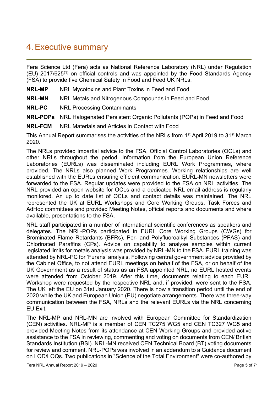### 4. Executive summary

Fera Science Ltd (Fera) acts as National Reference Laboratory (NRL) under Regulation  $(EU)$  2017/625<sup>(1)</sup> on official controls and was appointed by the Food Standards Agency (FSA) to provide five Chemical Safety in Food and Feed UK NRLs:

- NRL-MP NRL Mycotoxins and Plant Toxins in Feed and Food
- **NRL-MN** NRL Metals and Nitrogenous Compounds in Feed and Food
- NRL-PC NRL Processing Contaminants
- NRL-POPs NRL Halogenated Persistent Organic Pollutants (POPs) in Feed and Food
- NRL-FCM NRL Materials and Articles in Contact with Food

This Annual Report summarises the activities of the NRLs from 1<sup>st</sup> April 2019 to 31<sup>st</sup> March 2020.

The NRLs provided impartial advice to the FSA, Official Control Laboratories (OCLs) and other NRLs throughout the period. Information from the European Union Reference Laboratories (EURLs) was disseminated including EURL Work Programmes, where provided. The NRLs also planned Work Programmes. Working relationships are well established with the EURLs ensuring efficient communication. EURL-MN newsletters were forwarded to the FSA. Regular updates were provided to the FSA on NRL activities. The NRL provided an open website for OCLs and a dedicated NRL email address is regularly monitored. An up to date list of OCLs and contact details was maintained. The NRL represented the UK at EURL Workshops and Core Working Groups, Task Forces and AdHoc committees and provided Meeting Notes, official reports and documents and where available, presentations to the FSA.

NRL staff participated in a number of international scientific conferences as speakers and delegates. The NRL-POPs participated in EURL Core Working Groups (CWGs) for Brominated Flame Retardants (BFRs), Per- and Polyfluoroalkyl Substances (PFAS) and Chlorinated Paraffins (CPs). Advice on capability to analyse samples within current legislated limits for metals analysis was provided by NRL-MN to the FSA. EURL training was attended by NRL-PC for 'Furans' analysis. Following central government advice provided by the Cabinet Office, to not attend EURL meetings on behalf of the FSA, or on behalf of the UK Government as a result of status as an FSA appointed NRL, no EURL hosted events were attended from October 2019. After this time, documents relating to each EURL Workshop were requested by the respective NRL and, if provided, were sent to the FSA. The UK left the EU on 31st January 2020. There is now a transition period until the end of 2020 while the UK and European Union (EU) negotiate arrangements. There was three-way communication between the FSA, NRLs and the relevant EURLs via the NRL concerning EU Exit.

The NRL-MP and NRL-MN are involved with European Committee for Standardization (CEN) activities. NRL-MP is a member of CEN TC275 WG5 and CEN TC327 WG5 and provided Meeting Notes from its attendance at CEN Working Groups and provided active assistance to the FSA in reviewing, commenting and voting on documents from CEN/ British Standards Institution (BSI). NRL-MN received CEN Technical Board (BT) voting documents for review and comment. NRL-POPs was involved in an addendum to a Guidance document on LOD/LOQs. Two publications in "Science of the Total Environment" were co-authored by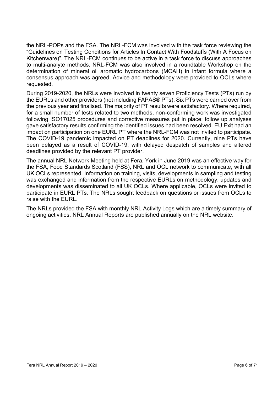the NRL-POPs and the FSA. The NRL-FCM was involved with the task force reviewing the "Guidelines on Testing Conditions for Articles In Contact With Foodstuffs (With A Focus on Kitchenware)". The NRL-FCM continues to be active in a task force to discuss approaches to multi-analyte methods. NRL-FCM was also involved in a roundtable Workshop on the determination of mineral oil aromatic hydrocarbons (MOAH) in infant formula where a consensus approach was agreed. Advice and methodology were provided to OCLs where requested.

During 2019-2020, the NRLs were involved in twenty seven Proficiency Tests (PTs) run by the EURLs and other providers (not including FAPAS® PTs). Six PTs were carried over from the previous year and finalised. The majority of PT results were satisfactory. Where required, for a small number of tests related to two methods, non-conforming work was investigated following ISO17025 procedures and corrective measures put in place; follow up analyses gave satisfactory results confirming the identified issues had been resolved. EU Exit had an impact on participation on one EURL PT where the NRL-FCM was not invited to participate. The COVID-19 pandemic impacted on PT deadlines for 2020. Currently, nine PTs have been delayed as a result of COVID-19, with delayed despatch of samples and altered deadlines provided by the relevant PT provider.

The annual NRL Network Meeting held at Fera, York in June 2019 was an effective way for the FSA, Food Standards Scotland (FSS), NRL and OCL network to communicate, with all UK OCLs represented. Information on training, visits, developments in sampling and testing was exchanged and information from the respective EURLs on methodology, updates and developments was disseminated to all UK OCLs. Where applicable, OCLs were invited to participate in EURL PTs. The NRLs sought feedback on questions or issues from OCLs to raise with the EURL.

The NRLs provided the FSA with monthly NRL Activity Logs which are a timely summary of ongoing activities. NRL Annual Reports are published annually on the NRL website.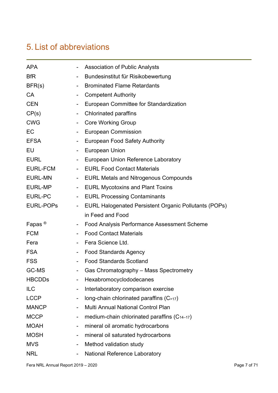# 5. List of abbreviations

| <b>APA</b>         |                          | <b>Association of Public Analysts</b>                        |
|--------------------|--------------------------|--------------------------------------------------------------|
| <b>BfR</b>         |                          | Bundesinstitut für Risikobewertung                           |
| BFR(s)             |                          | <b>Brominated Flame Retardants</b>                           |
| <b>CA</b>          | $\overline{\phantom{a}}$ | <b>Competent Authority</b>                                   |
| <b>CEN</b>         |                          | European Committee for Standardization                       |
| CP(s)              | $\overline{\phantom{a}}$ | <b>Chlorinated paraffins</b>                                 |
| <b>CWG</b>         |                          | <b>Core Working Group</b>                                    |
| EC                 |                          | <b>European Commission</b>                                   |
| <b>EFSA</b>        |                          | <b>European Food Safety Authority</b>                        |
| EU                 |                          | <b>European Union</b>                                        |
| <b>EURL</b>        | -                        | European Union Reference Laboratory                          |
| <b>EURL-FCM</b>    |                          | <b>EURL Food Contact Materials</b>                           |
| <b>EURL-MN</b>     | ۰                        | <b>EURL Metals and Nitrogenous Compounds</b>                 |
| <b>EURL-MP</b>     | $\blacksquare$           | <b>EURL Mycotoxins and Plant Toxins</b>                      |
| <b>EURL-PC</b>     |                          | <b>EURL Processing Contaminants</b>                          |
| <b>EURL-POPS</b>   | $\overline{\phantom{a}}$ | <b>EURL Halogenated Persistent Organic Pollutants (POPs)</b> |
|                    |                          | in Feed and Food                                             |
| Fapas <sup>®</sup> | $\overline{\phantom{a}}$ | <b>Food Analysis Performance Assessment Scheme</b>           |
| <b>FCM</b>         |                          | <b>Food Contact Materials</b>                                |
| Fera               | $\blacksquare$           | Fera Science Ltd.                                            |
| <b>FSA</b>         | $\overline{\phantom{a}}$ | <b>Food Standards Agency</b>                                 |
| <b>FSS</b>         |                          | <b>Food Standards Scotland</b>                               |
| GC-MS              |                          | Gas Chromatography - Mass Spectrometry                       |
| <b>HBCDDs</b>      |                          | Hexabromocyclododecanes                                      |
| <b>ILC</b>         |                          | Interlaboratory comparison exercise                          |
| <b>LCCP</b>        |                          | long-chain chlorinated paraffins $(C_{\geq 17})$             |
| <b>MANCP</b>       | $\overline{\phantom{a}}$ | Multi Annual National Control Plan                           |
| <b>MCCP</b>        |                          | medium-chain chlorinated paraffins $(C_{14-17})$             |
| <b>MOAH</b>        |                          | mineral oil aromatic hydrocarbons                            |
| <b>MOSH</b>        | $\overline{\phantom{a}}$ | mineral oil saturated hydrocarbons                           |
| <b>MVS</b>         |                          | Method validation study                                      |
| <b>NRL</b>         |                          | National Reference Laboratory                                |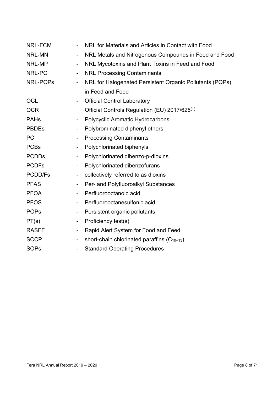| NRL-FCM       |                              | NRL for Materials and Articles in Contact with Food       |
|---------------|------------------------------|-----------------------------------------------------------|
| <b>NRL-MN</b> | $\overline{\phantom{a}}$     | NRL Metals and Nitrogenous Compounds in Feed and Food     |
| NRL-MP        | $\overline{\phantom{a}}$     | NRL Mycotoxins and Plant Toxins in Feed and Food          |
| NRL-PC        | $\overline{\phantom{a}}$     | <b>NRL Processing Contaminants</b>                        |
| NRL-POPs      | $\overline{\phantom{a}}$     | NRL for Halogenated Persistent Organic Pollutants (POPs)  |
|               |                              | in Feed and Food                                          |
| <b>OCL</b>    | $\overline{\phantom{a}}$     | <b>Official Control Laboratory</b>                        |
| <b>OCR</b>    |                              | Official Controls Regulation (EU) 2017/625 <sup>(1)</sup> |
| <b>PAHs</b>   | $\overline{\phantom{a}}$     | Polycyclic Aromatic Hydrocarbons                          |
| <b>PBDEs</b>  | $\overline{\phantom{a}}$     | Polybrominated diphenyl ethers                            |
| PC            | $\overline{\phantom{a}}$     | <b>Processing Contaminants</b>                            |
| <b>PCBs</b>   |                              | Polychlorinated biphenyls                                 |
| <b>PCDDs</b>  | $\overline{\phantom{a}}$     | Polychlorinated dibenzo-p-dioxins                         |
| <b>PCDFs</b>  | $\overline{\phantom{a}}$     | Polychlorinated dibenzofurans                             |
| PCDD/Fs       | $\overline{\phantom{0}}$     | collectively referred to as dioxins                       |
| <b>PFAS</b>   | $\overline{\phantom{a}}$     | Per- and Polyfluoroalkyl Substances                       |
| <b>PFOA</b>   | $\overline{\phantom{a}}$     | Perfluorooctanoic acid                                    |
| <b>PFOS</b>   | $\overline{\phantom{a}}$     | Perfluorooctanesulfonic acid                              |
| <b>POPs</b>   | $\overline{\phantom{a}}$     | Persistent organic pollutants                             |
| PT(s)         | -                            | Proficiency test(s)                                       |
| <b>RASFF</b>  | $\qquad \qquad \blacksquare$ | Rapid Alert System for Food and Feed                      |
| <b>SCCP</b>   | -                            | short-chain chlorinated paraffins $(C_{10-13})$           |
| <b>SOPs</b>   |                              | <b>Standard Operating Procedures</b>                      |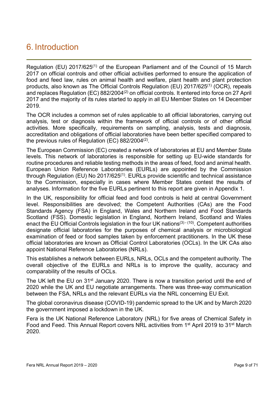### 6. Introduction

Regulation (EU)  $2017/625^{(1)}$  of the European Parliament and of the Council of 15 March 2017 on official controls and other official activities performed to ensure the application of food and feed law, rules on animal health and welfare, plant health and plant protection products, also known as The Official Controls Regulation (EU) 2017/625(1) (OCR), repeals and replaces Regulation (EC) 882/2004<sup>(2)</sup> on official controls. It entered into force on 27 April 2017 and the majority of its rules started to apply in all EU Member States on 14 December 2019.

The OCR includes a common set of rules applicable to all official laboratories, carrying out analysis, test or diagnosis within the framework of official controls or of other official activities. More specifically, requirements on sampling, analysis, tests and diagnosis, accreditation and obligations of official laboratories have been better specified compared to the previous rules of Regulation (EC)  $882/2004^{(2)}$ .

The European Commission (EC) created a network of laboratories at EU and Member State levels. This network of laboratories is responsible for setting up EU-wide standards for routine procedures and reliable testing methods in the areas of feed, food and animal health. European Union Reference Laboratories (EURLs) are appointed by the Commission through Regulation (EU) No 2017/625<sup>(1)</sup>. EURLs provide scientific and technical assistance to the Commission, especially in cases where Member States contest the results of analyses. Information for the five EURLs pertinent to this report are given in Appendix 1.

In the UK, responsibility for official feed and food controls is held at central Government level. Responsibilities are devolved; the Competent Authorities (CAs) are the Food Standards Agency (FSA) in England, Wales and Northern Ireland and Food Standards Scotland (FSS). Domestic legislation in England, Northern Ireland, Scotland and Wales enact the EU Official Controls legislation in the four UK nations<sup>(3) - (10)</sup>. Competent authorities designate official laboratories for the purposes of chemical analysis or microbiological examination of feed or food samples taken by enforcement practitioners. In the UK these official laboratories are known as Official Control Laboratories (OCLs). In the UK CAs also appoint National Reference Laboratories (NRLs).

This establishes a network between EURLs, NRLs, OCLs and the competent authority. The overall objective of the EURLs and NRLs is to improve the quality, accuracy and comparability of the results of OCLs.

The UK left the EU on 31<sup>st</sup> January 2020. There is now a transition period until the end of 2020 while the UK and EU negotiate arrangements. There was three-way communication between the FSA, NRLs and the relevant EURLs via the NRL concerning EU Exit.

The global coronavirus disease (COVID-19) pandemic spread to the UK and by March 2020 the government imposed a lockdown in the UK.

Fera is the UK National Reference Laboratory (NRL) for five areas of Chemical Safety in Food and Feed. This Annual Report covers NRL activities from 1st April 2019 to 31st March 2020.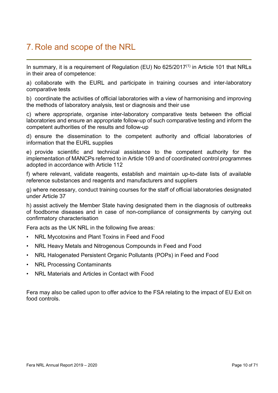## 7. Role and scope of the NRL

In summary, it is a requirement of Regulation (EU) No 625/2017<sup>(1)</sup> in Article 101 that NRLs in their area of competence:

a) collaborate with the EURL and participate in training courses and inter-laboratory comparative tests

b) coordinate the activities of official laboratories with a view of harmonising and improving the methods of laboratory analysis, test or diagnosis and their use

c) where appropriate, organise inter-laboratory comparative tests between the official laboratories and ensure an appropriate follow-up of such comparative testing and inform the competent authorities of the results and follow-up

d) ensure the dissemination to the competent authority and official laboratories of information that the EURL supplies

e) provide scientific and technical assistance to the competent authority for the implementation of MANCPs referred to in Article 109 and of coordinated control programmes adopted in accordance with Article 112

f) where relevant, validate reagents, establish and maintain up-to-date lists of available reference substances and reagents and manufacturers and suppliers

g) where necessary, conduct training courses for the staff of official laboratories designated under Article 37

h) assist actively the Member State having designated them in the diagnosis of outbreaks of foodborne diseases and in case of non-compliance of consignments by carrying out confirmatory characterisation

Fera acts as the UK NRL in the following five areas:

- NRL Mycotoxins and Plant Toxins in Feed and Food
- NRL Heavy Metals and Nitrogenous Compounds in Feed and Food
- NRL Halogenated Persistent Organic Pollutants (POPs) in Feed and Food
- **NRL Processing Contaminants**
- NRL Materials and Articles in Contact with Food

Fera may also be called upon to offer advice to the FSA relating to the impact of EU Exit on food controls.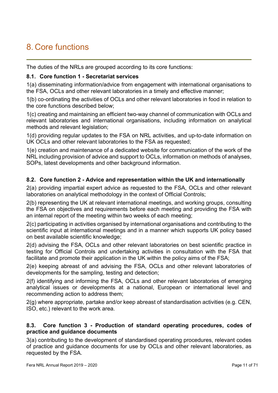# 8. Core functions

The duties of the NRLs are grouped according to its core functions:

#### 8.1. Core function 1 - Secretariat services

1(a) disseminating information/advice from engagement with international organisations to the FSA, OCLs and other relevant laboratories in a timely and effective manner;

1(b) co-ordinating the activities of OCLs and other relevant laboratories in food in relation to the core functions described below;

1(c) creating and maintaining an efficient two-way channel of communication with OCLs and relevant laboratories and international organisations, including information on analytical methods and relevant legislation;

1(d) providing regular updates to the FSA on NRL activities, and up-to-date information on UK OCLs and other relevant laboratories to the FSA as requested;

1(e) creation and maintenance of a dedicated website for communication of the work of the NRL including provision of advice and support to OCLs, information on methods of analyses, SOPs, latest developments and other background information.

#### 8.2. Core function 2 - Advice and representation within the UK and internationally

2(a) providing impartial expert advice as requested to the FSA, OCLs and other relevant laboratories on analytical methodology in the context of Official Controls;

2(b) representing the UK at relevant international meetings, and working groups, consulting the FSA on objectives and requirements before each meeting and providing the FSA with an internal report of the meeting within two weeks of each meeting;

2(c) participating in activities organised by international organisations and contributing to the scientific input at international meetings and in a manner which supports UK policy based on best available scientific knowledge;

2(d) advising the FSA, OCLs and other relevant laboratories on best scientific practice in testing for Official Controls and undertaking activities in consultation with the FSA that facilitate and promote their application in the UK within the policy aims of the FSA;

2(e) keeping abreast of and advising the FSA, OCLs and other relevant laboratories of developments for the sampling, testing and detection;

2(f) identifying and informing the FSA, OCLs and other relevant laboratories of emerging analytical issues or developments at a national, European or international level and recommending action to address them;

2(g) where appropriate, partake and/or keep abreast of standardisation activities (e.g. CEN, ISO, etc.) relevant to the work area.

#### 8.3. Core function 3 - Production of standard operating procedures, codes of practice and guidance documents

3(a) contributing to the development of standardised operating procedures, relevant codes of practice and guidance documents for use by OCLs and other relevant laboratories, as requested by the FSA.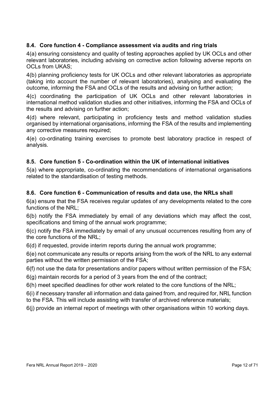#### 8.4. Core function 4 - Compliance assessment via audits and ring trials

4(a) ensuring consistency and quality of testing approaches applied by UK OCLs and other relevant laboratories, including advising on corrective action following adverse reports on OCLs from UKAS;

4(b) planning proficiency tests for UK OCLs and other relevant laboratories as appropriate (taking into account the number of relevant laboratories), analysing and evaluating the outcome, informing the FSA and OCLs of the results and advising on further action;

4(c) coordinating the participation of UK OCLs and other relevant laboratories in international method validation studies and other initiatives, informing the FSA and OCLs of the results and advising on further action;

4(d) where relevant, participating in proficiency tests and method validation studies organised by international organisations, informing the FSA of the results and implementing any corrective measures required;

4(e) co-ordinating training exercises to promote best laboratory practice in respect of analysis.

#### 8.5. Core function 5 - Co-ordination within the UK of international initiatives

5(a) where appropriate, co-ordinating the recommendations of international organisations related to the standardisation of testing methods.

#### 8.6. Core function 6 - Communication of results and data use, the NRLs shall

6(a) ensure that the FSA receives regular updates of any developments related to the core functions of the NRL;

6(b) notify the FSA immediately by email of any deviations which may affect the cost, specifications and timing of the annual work programme;

6(c) notify the FSA immediately by email of any unusual occurrences resulting from any of the core functions of the NRL;

6(d) if requested, provide interim reports during the annual work programme;

6(e) not communicate any results or reports arising from the work of the NRL to any external parties without the written permission of the FSA;

6(f) not use the data for presentations and/or papers without written permission of the FSA;

6(g) maintain records for a period of 3 years from the end of the contract;

6(h) meet specified deadlines for other work related to the core functions of the NRL;

6(i) if necessary transfer all information and data gained from, and required for, NRL function to the FSA. This will include assisting with transfer of archived reference materials;

6(j) provide an internal report of meetings with other organisations within 10 working days.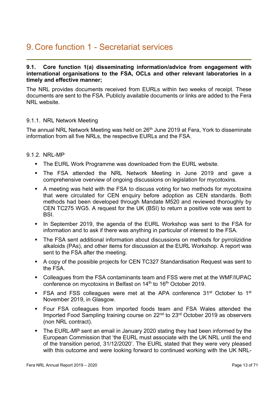## 9. Core function 1 - Secretariat services

#### 9.1. Core function 1(a) disseminating information/advice from engagement with international organisations to the FSA, OCLs and other relevant laboratories in a timely and effective manner;

The NRL provides documents received from EURLs within two weeks of receipt. These documents are sent to the FSA. Publicly available documents or links are added to the Fera NRL website.

#### 9.1.1. NRL Network Meeting

The annual NRL Network Meeting was held on 26<sup>th</sup> June 2019 at Fera, York to disseminate information from all five NRLs, the respective EURLs and the FSA.

#### 9.1.2. NRI-MP

- The EURL Work Programme was downloaded from the EURL website.
- The FSA attended the NRL Network Meeting in June 2019 and gave a comprehensive overview of ongoing discussions on legislation for mycotoxins.
- A meeting was held with the FSA to discuss voting for two methods for mycotoxins that were circulated for CEN enquiry before adoption as CEN standards. Both methods had been developed through Mandate M520 and reviewed thoroughly by CEN TC275 WG5. A request for the UK (BSI) to return a positive vote was sent to BSI.
- In September 2019, the agenda of the EURL Workshop was sent to the FSA for information and to ask if there was anything in particular of interest to the FSA.
- The FSA sent additional information about discussions on methods for pyrrolizidine alkaloids (PAs), and other items for discussion at the EURL Workshop. A report was sent to the FSA after the meeting.
- A copy of the possible projects for CEN TC327 Standardisation Request was sent to the FSA.
- Colleagues from the FSA contaminants team and FSS were met at the WMF/IUPAC conference on mycotoxins in Belfast on 14<sup>th</sup> to 16<sup>th</sup> October 2019.
- FSA and FSS colleagues were met at the APA conference  $31<sup>st</sup>$  October to  $1<sup>st</sup>$ November 2019, in Glasgow.
- Four FSA colleagues from imported foods team and FSA Wales attended the Imported Food Sampling training course on 22nd to 23rd October 2019 as observers (non NRL contract).
- The EURL-MP sent an email in January 2020 stating they had been informed by the European Commission that 'the EURL must associate with the UK NRL until the end of the transition period, 31/12/2020'. The EURL stated that they were very pleased with this outcome and were looking forward to continued working with the UK NRL-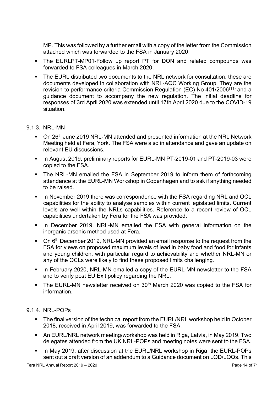MP. This was followed by a further email with a copy of the letter from the Commission attached which was forwarded to the FSA in January 2020.

- The EURLPT-MP01-Follow up report PT for DON and related compounds was forwarded to FSA colleagues in March 2020.
- The EURL distributed two documents to the NRL network for consultation, these are documents developed in collaboration with NRL-AQC Working Group. They are the revision to performance criteria Commission Regulation (EC) No 401/2006(11) and a guidance document to accompany the new regulation. The initial deadline for responses of 3rd April 2020 was extended until 17th April 2020 due to the COVID-19 situation.

#### 9.1.3. NRL-MN

- On 26<sup>th</sup> June 2019 NRL-MN attended and presented information at the NRL Network Meeting held at Fera, York. The FSA were also in attendance and gave an update on relevant EU discussions.
- In August 2019, preliminary reports for EURL-MN PT-2019-01 and PT-2019-03 were copied to the FSA.
- The NRL-MN emailed the FSA in September 2019 to inform them of forthcoming attendance at the EURL-MN Workshop in Copenhagen and to ask if anything needed to be raised.
- In November 2019 there was correspondence with the FSA regarding NRL and OCL capabilities for the ability to analyse samples within current legislated limits. Current levels are well within the NRLs capabilities. Reference to a recent review of OCL capabilities undertaken by Fera for the FSA was provided.
- **In December 2019, NRL-MN emailed the FSA with general information on the** inorganic arsenic method used at Fera.
- $\blacksquare$  On 6<sup>th</sup> December 2019, NRL-MN provided an email response to the request from the FSA for views on proposed maximum levels of lead in baby food and food for infants and young children, with particular regard to achievability and whether NRL-MN or any of the OCLs were likely to find these proposed limits challenging.
- In February 2020, NRL-MN emailed a copy of the EURL-MN newsletter to the FSA and to verify post EU Exit policy regarding the NRL.
- The EURL-MN newsletter received on 30<sup>th</sup> March 2020 was copied to the FSA for information.

#### 9.1.4. NRL-POPs

- The final version of the technical report from the EURL/NRL workshop held in October 2018, received in April 2019, was forwarded to the FSA.
- An EURL/NRL network meeting/workshop was held in Riga, Latvia, in May 2019. Two delegates attended from the UK NRL-POPs and meeting notes were sent to the FSA.
- In May 2019, after discussion at the EURL/NRL workshop in Riga, the EURL-POPs sent out a draft version of an addendum to a Guidance document on LOD/LOQs. This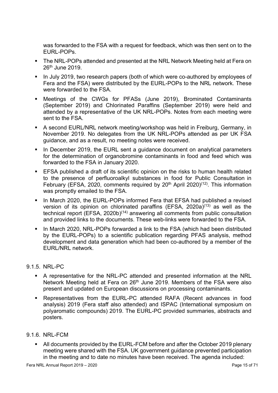was forwarded to the FSA with a request for feedback, which was then sent on to the EURL-POPs.

- The NRL-POPs attended and presented at the NRL Network Meeting held at Fera on 26th June 2019.
- In July 2019, two research papers (both of which were co-authored by employees of Fera and the FSA) were distributed by the EURL-POPs to the NRL network. These were forwarded to the FSA.
- Meetings of the CWGs for PFASs (June 2019), Brominated Contaminants (September 2019) and Chlorinated Paraffins (September 2019) were held and attended by a representative of the UK NRL-POPs. Notes from each meeting were sent to the FSA
- A second EURL/NRL network meeting/workshop was held in Freiburg, Germany, in November 2019. No delegates from the UK NRL-POPs attended as per UK FSA guidance, and as a result, no meeting notes were received.
- In December 2019, the EURL sent a guidance document on analytical parameters for the determination of organobromine contaminants in food and feed which was forwarded to the FSA in January 2020.
- EFSA published a draft of its scientific opinion on the risks to human health related to the presence of perfluoroalkyl substances in food for Public Consultation in February (EFSA, 2020, comments required by  $20<sup>th</sup>$  April 2020)<sup>(12)</sup>. This information was promptly emailed to the FSA.
- In March 2020, the EURL-POPs informed Fera that EFSA had published a revised version of its opinion on chlorinated paraffins (EFSA, 2020a)<sup>(13)</sup> as well as the technical report (EFSA, 2020b)(14) answering all comments from public consultation and provided links to the documents. These web-links were forwarded to the FSA.
- In March 2020, NRL-POPs forwarded a link to the FSA (which had been distributed by the EURL-POPs) to a scientific publication regarding PFAS analysis, method development and data generation which had been co-authored by a member of the EURL/NRL network.

#### 9.1.5. NRL-PC

- A representative for the NRL-PC attended and presented information at the NRL Network Meeting held at Fera on 26<sup>th</sup> June 2019. Members of the FSA were also present and updated on European discussions on processing contaminants.
- Representatives from the EURL-PC attended RAFA (Recent advances in food analysis) 2019 (Fera staff also attended) and ISPAC (International symposium on polyaromatic compounds) 2019. The EURL-PC provided summaries, abstracts and posters.

#### 9.1.6. NRL-FCM

• All documents provided by the EURL-FCM before and after the October 2019 plenary meeting were shared with the FSA. UK government guidance prevented participation in the meeting and to date no minutes have been received. The agenda included: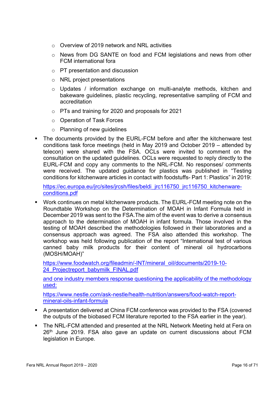- o Overview of 2019 network and NRL activities
- o News from DG SANTE on food and FCM legislations and news from other FCM international fora
- o PT presentation and discussion
- o NRL project presentations
- o Updates / information exchange on multi-analyte methods, kitchen and bakeware guidelines, plastic recycling, representative sampling of FCM and accreditation
- o PTs and training for 2020 and proposals for 2021
- o Operation of Task Forces
- o Planning of new guidelines
- The documents provided by the EURL-FCM before and after the kitchenware test conditions task force meetings (held in May 2019 and October 2019 – attended by telecon) were shared with the FSA. OCLs were invited to comment on the consultation on the updated guidelines. OCLs were requested to reply directly to the EURL-FCM and copy any comments to the NRL-FCM. No responses/ comments were received. The updated guidance for plastics was published in "Testing conditions for kitchenware articles in contact with foodstuffs- Part 1: Plastics" in 2019:

https://ec.europa.eu/jrc/sites/jrcsh/files/beldi\_jrc116750\_jrc116750\_kitchenwareconditions.pdf

 Work continues on metal kitchenware products. The EURL-FCM meeting note on the Roundtable Workshop on the Determination of MOAH in Infant Formula held in December 2019 was sent to the FSA.The aim of the event was to derive a consensus approach to the determination of MOAH in infant formula. Those involved in the testing of MOAH described the methodologies followed in their laboratories and a consensus approach was agreed. The FSA also attended this workshop. The workshop was held following publication of the report "International test of various canned baby milk products for their content of mineral oil hydrocarbons (MOSH/MOAH)"

https://www.foodwatch.org/fileadmin/-INT/mineral\_oil/documents/2019-10- 24 Projectreport\_babymilk\_FINAL.pdf

and one industry members response questioning the applicability of the methodology used:

https://www.nestle.com/ask-nestle/health-nutrition/answers/food-watch-reportmineral-oils-infant-formula

- A presentation delivered at China FCM conference was provided to the FSA (covered the outputs of the biobased FCM literature reported to the FSA earlier in the year).
- The NRL-FCM attended and presented at the NRL Network Meeting held at Fera on 26<sup>th</sup> June 2019. FSA also gave an update on current discussions about FCM legislation in Europe.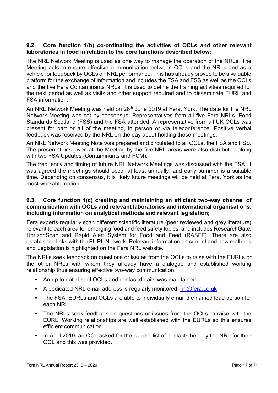#### 9.2. Core function 1(b) co-ordinating the activities of OCLs and other relevant laboratories in food in relation to the core functions described below;

The NRL Network Meeting is used as one way to manage the operation of the NRLs. The Meeting acts to ensure effective communication between OCLs and the NRLs and as a vehicle for feedback by OCLs on NRL performance. This has already proved to be a valuable platform for the exchange of information and includes the FSA and FSS as well as the OCLs and the five Fera Contaminants NRLs. It is used to define the training activities required for the next period as well as visits and other support required and to disseminate EURL and FSA information.

An NRL Network Meeting was held on 26<sup>th</sup> June 2019 at Fera, York. The date for the NRL Network Meeting was set by consensus. Representatives from all five Fera NRLs, Food Standards Scotland (FSS) and the FSA attended. A representative from all UK OCLs was present for part or all of the meeting, in person or via teleconference. Positive verbal feedback was received by the NRL on the day about holding these meetings.

An NRL Network Meeting Note was prepared and circulated to all OCLs, the FSA and FSS. The presentations given at the Meeting by the five NRL areas were also distributed along with two FSA Updates (Contaminants and FCM).

The frequency and timing of future NRL Network Meetings was discussed with the FSA. It was agreed the meetings should occur at least annually, and early summer is a suitable time. Depending on consensus, it is likely future meetings will be held at Fera, York as the most workable option.

#### 9.3. Core function 1(c) creating and maintaining an efficient two-way channel of communication with OCLs and relevant laboratories and international organisations, including information on analytical methods and relevant legislation;

Fera experts regularly scan different scientific literature (peer reviewed and grey literature) relevant to each area for emerging food and feed safety topics, and includes ResearchGate, HorizonScan and Rapid Alert System for Food and Feed (RASFF). There are also established links with the EURL Network. Relevant information on current and new methods and Legislation is highlighted on the Fera NRL website.

The NRLs seek feedback on questions or issues from the OCLs to raise with the EURLs or the other NRLs with whom they already have a dialogue and established working relationship thus ensuring effective two-way communication.

- An up to date list of OCLs and contact details was maintained.
- A dedicated NRL email address is regularly monitored:  $n\frac{d}{dr}$  fera.co.uk
- **The FSA, EURLs and OCLs are able to individually email the named lead person for** each NRL.
- The NRLs seek feedback on questions or issues from the OCLs to raise with the EURL. Working relationships are well established with the EURLs so this ensures efficient communication.
- In April 2019, an OCL asked for the current list of contacts held by the NRL for their OCL and this was provided.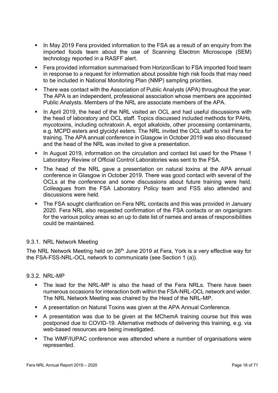- In May 2019 Fera provided information to the FSA as a result of an enquiry from the imported foods team about the use of Scanning Electron Microscope (SEM) technology reported in a RASFF alert.
- Fera provided information summarised from HorizonScan to FSA imported food team in response to a request for information about possible high risk foods that may need to be included in National Monitoring Plan (NMP) sampling priorities.
- **There was contact with the Association of Public Analysts (APA) throughout the year.** The APA is an independent, professional association whose members are appointed Public Analysts. Members of the NRL are associate members of the APA.
- In April 2019, the head of the NRL visited an OCL and had useful discussions with the head of laboratory and OCL staff. Topics discussed included methods for PAHs, mycotoxins, including ochratoxin A, ergot alkaloids, other processing contaminants, e.g. MCPD esters and glycidyl esters. The NRL invited the OCL staff to visit Fera for training. The APA annual conference in Glasgow in October 2019 was also discussed and the head of the NRL was invited to give a presentation.
- In August 2019, information on the circulation and contact list used for the Phase 1 Laboratory Review of Official Control Laboratories was sent to the FSA.
- The head of the NRL gave a presentation on natural toxins at the APA annual conference in Glasgow in October 2019. There was good contact with several of the OCLs at the conference and some discussions about future training were held. Colleagues from the FSA Laboratory Policy team and FSS also attended and discussions were held.
- The FSA sought clarification on Fera NRL contacts and this was provided in January 2020. Fera NRL also requested confirmation of the FSA contacts or an organigram for the various policy areas so an up to date list of names and areas of responsibilities could be maintained.

#### 9.3.1. NRL Network Meeting

The NRL Network Meeting held on 26<sup>th</sup> June 2019 at Fera, York is a very effective way for the FSA-FSS-NRL-OCL network to communicate (see Section 1 (a)).

#### 9.3.2. NRL-MP

- The lead for the NRL-MP is also the head of the Fera NRLs. There have been numerous occasions for interaction both within the FSA-NRL-OCL network and wider. The NRL Network Meeting was chaired by the Head of the NRL-MP.
- A presentation on Natural Toxins was given at the APA Annual Conference.
- A presentation was due to be given at the MChemA training course but this was postponed due to COVID-19. Alternative methods of delivering this training, e.g. via web-based resources are being investigated.
- The WMF/IUPAC conference was attended where a number of organisations were represented.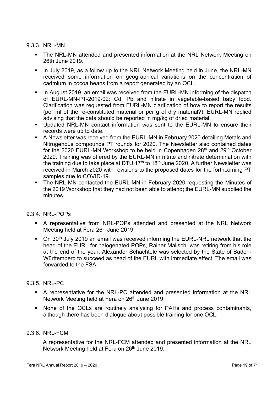#### 9.3.3. NRL-MN

- The NRL-MN attended and presented information at the NRL Network Meeting on 26th June 2019.
- In July 2019, as a follow up to the NRL Network Meeting held in June, the NRL-MN received some information on geographical variations on the concentration of cadmium in cocoa beans from a report generated by an OCL.
- In August 2019, an email was received from the EURL-MN informing of the dispatch of EURL-MN-PT-2019-02: Cd, Pb and nitrate in vegetable-based baby food. Clarification was requested from EURL-MN clarification of how to report the results (per ml of the re-constituted material or per g of dry material?). EURL-MN replied advising that the data should be reported in mg/kg of dried material.
- Updated NRL-MN contact information was sent to the EURL-MN to ensure their records were up to date.
- A Newsletter was received from the EURL-MN in February 2020 detailing Metals and Nitrogenous compounds PT rounds for 2020. The Newsletter also contained dates for the 2020 EURL-MN Workshop to be held in Copenhagen 28<sup>th</sup> and 29<sup>th</sup> October 2020. Training was offered by the EURL-MN in nitrite and nitrate determination with the training due to take place at DTU 17<sup>th</sup> to 18<sup>th</sup> June 2020. A further Newsletter was received in March 2020 with revisions to the proposed dates for the forthcoming PT samples due to COVID-19.
- The NRL-MN contacted the EURL-MN in February 2020 requesting the Minutes of the 2019 Workshop that they had not been able to attend; the EURL-MN supplied the minutes.

#### 9.3.4. NRL-POPs

- A representative from NRL-POPs attended and presented at the NRL Network Meeting held at Fera 26<sup>th</sup> June 2019.
- On 30<sup>th</sup> July 2019 an email was received informing the EURL-NRL network that the head of the EURL for halogenated POPs, Rainer Malisch, was retiring from his role at the end of the year. Alexander Schächtele was selected by the State of Baden-Württemberg to succeed as head of the EURL with immediate effect. The email was forwarded to the FSA.

#### 9.3.5. NRL-PC

- A representative for the NRL-PC attended and presented information at the NRL Network Meeting held at Fera on 26<sup>th</sup> June 2019.
- None of the OCLs are routinely analysing for PAHs and process contaminants, although there has been dialogue about possible training for one OCL.

#### 9.3.6. NRL-FCM

A representative for the NRL-FCM attended and presented information at the NRL Network Meeting held at Fera on 26<sup>th</sup> June 2019.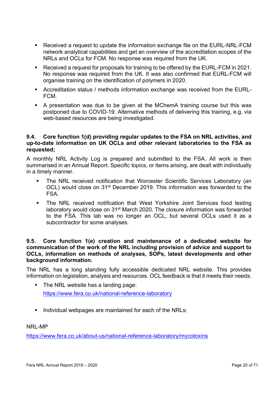- Received a request to update the information exchange file on the EURL-NRL-FCM network analytical capabilities and get an overview of the accreditation scopes of the NRLs and OCLs for FCM. No response was required from the UK.
- Received a request for proposals for training to be offered by the EURL-FCM in 2021. No response was required from the UK. It was also confirmed that EURL-FCM will organise training on the identification of polymers in 2020.
- Accreditation status / methods information exchange was received from the EURL-FCM.
- A presentation was due to be given at the MChemA training course but this was postponed due to COVID-19. Alternative methods of delivering this training, e.g. via web-based resources are being investigated.

#### 9.4. Core function 1(d) providing regular updates to the FSA on NRL activities, and up-to-date information on UK OCLs and other relevant laboratories to the FSA as requested;

A monthly NRL Activity Log is prepared and submitted to the FSA. All work is then summarised in an Annual Report. Specific topics, or items arising, are dealt with individually in a timely manner.

- The NRL received notification that Worcester Scientific Services Laboratory (an OCL) would close on 31<sup>st</sup> December 2019. This information was forwarded to the FSA.
- The NRL received notification that West Yorkshire Joint Services food testing laboratory would close on 31<sup>st</sup> March 2020. The closure information was forwarded to the FSA. This lab was no longer an OCL, but several OCLs used it as a subcontractor for some analyses.

#### 9.5. Core function 1(e) creation and maintenance of a dedicated website for communication of the work of the NRL including provision of advice and support to OCLs, information on methods of analyses, SOPs, latest developments and other background information.

The NRL has a long standing fully accessible dedicated NRL website. This provides information on legislation, analysis and resources. OCL feedback is that it meets their needs.

- The NRL website has a landing page: https://www.fera.co.uk/national-reference-laboratory
- Individual webpages are maintained for each of the NRLs:

NRL-MP

https://www.fera.co.uk/about-us/national-reference-laboratory/mycotoxins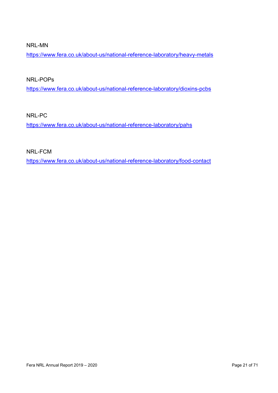NRL-MN

https://www.fera.co.uk/about-us/national-reference-laboratory/heavy-metals

NRL-POPs

https://www.fera.co.uk/about-us/national-reference-laboratory/dioxins-pcbs

NRL-PC

https://www.fera.co.uk/about-us/national-reference-laboratory/pahs

NRL-FCM

https://www.fera.co.uk/about-us/national-reference-laboratory/food-contact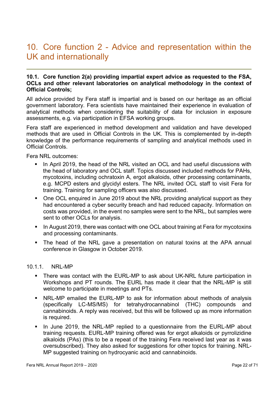### 10. Core function 2 - Advice and representation within the UK and internationally

#### 10.1. Core function 2(a) providing impartial expert advice as requested to the FSA, OCLs and other relevant laboratories on analytical methodology in the context of Official Controls;

All advice provided by Fera staff is impartial and is based on our heritage as an official government laboratory. Fera scientists have maintained their experience in evaluation of analytical methods when considering the suitability of data for inclusion in exposure assessments, e.g. via participation in EFSA working groups.

Fera staff are experienced in method development and validation and have developed methods that are used in Official Controls in the UK. This is complemented by in-depth knowledge of the performance requirements of sampling and analytical methods used in Official Controls.

Fera NRL outcomes:

- In April 2019, the head of the NRL visited an OCL and had useful discussions with the head of laboratory and OCL staff. Topics discussed included methods for PAHs, mycotoxins, including ochratoxin A, ergot alkaloids, other processing contaminants, e.g. MCPD esters and glycidyl esters. The NRL invited OCL staff to visit Fera for training. Training for sampling officers was also discussed.
- One OCL enquired in June 2019 about the NRL providing analytical support as they had encountered a cyber security breach and had reduced capacity. Information on costs was provided, in the event no samples were sent to the NRL, but samples were sent to other OCLs for analysis.
- In August 2019, there was contact with one OCL about training at Fera for mycotoxins and processing contaminants.
- The head of the NRL gave a presentation on natural toxins at the APA annual conference in Glasgow in October 2019.

#### 10.1.1. NRL-MP

- There was contact with the EURL-MP to ask about UK-NRL future participation in Workshops and PT rounds. The EURL has made it clear that the NRL-MP is still welcome to participate in meetings and PTs.
- NRL-MP emailed the EURL-MP to ask for information about methods of analysis (specifically LC-MS/MS) for tetrahydrocannabinol (THC) compounds and cannabinoids. A reply was received, but this will be followed up as more information is required.
- In June 2019, the NRL-MP replied to a questionnaire from the EURL-MP about training requests. EURL-MP training offered was for ergot alkaloids or pyrrolizidine alkaloids (PAs) (this to be a repeat of the training Fera received last year as it was oversubscribed). They also asked for suggestions for other topics for training. NRL-MP suggested training on hydrocyanic acid and cannabinoids.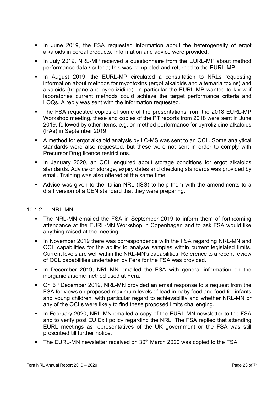- In June 2019, the FSA requested information about the heterogeneity of ergot alkaloids in cereal products. Information and advice were provided.
- In July 2019, NRL-MP received a questionnaire from the EURL-MP about method performance data / criteria; this was completed and returned to the EURL-MP.
- **In August 2019, the EURL-MP circulated a consultation to NRLs requesting** information about methods for mycotoxins (ergot alkaloids and alternaria toxins) and alkaloids (tropane and pyrrolizidine). In particular the EURL-MP wanted to know if laboratories current methods could achieve the target performance criteria and LOQs. A reply was sent with the information requested.
- The FSA requested copies of some of the presentations from the 2018 EURL-MP Workshop meeting, these and copies of the PT reports from 2018 were sent in June 2019, followed by other items, e.g. on method performance for pyrrolizidine alkaloids (PAs) in September 2019.
- A method for ergot alkaloid analysis by LC-MS was sent to an OCL. Some analytical standards were also requested, but these were not sent in order to comply with Precursor Drug licence restrictions.
- In January 2020, an OCL enquired about storage conditions for ergot alkaloids standards. Advice on storage, expiry dates and checking standards was provided by email. Training was also offered at the same time.
- Advice was given to the Italian NRL (ISS) to help them with the amendments to a draft version of a CEN standard that they were preparing.

#### 10.1.2 NRI-MN

- The NRL-MN emailed the FSA in September 2019 to inform them of forthcoming attendance at the EURL-MN Workshop in Copenhagen and to ask FSA would like anything raised at the meeting.
- In November 2019 there was correspondence with the FSA regarding NRL-MN and OCL capabilities for the ability to analyse samples within current legislated limits. Current levels are well within the NRL-MN's capabilities. Reference to a recent review of OCL capabilities undertaken by Fera for the FSA was provided.
- In December 2019, NRL-MN emailed the FSA with general information on the inorganic arsenic method used at Fera.
- $\blacksquare$  On 6<sup>th</sup> December 2019, NRL-MN provided an email response to a request from the FSA for views on proposed maximum levels of lead in baby food and food for infants and young children, with particular regard to achievability and whether NRL-MN or any of the OCLs were likely to find these proposed limits challenging.
- In February 2020, NRL-MN emailed a copy of the EURL-MN newsletter to the FSA and to verify post EU Exit policy regarding the NRL. The FSA replied that attending EURL meetings as representatives of the UK government or the FSA was still proscribed till further notice.
- The EURL-MN newsletter received on  $30<sup>th</sup>$  March 2020 was copied to the FSA.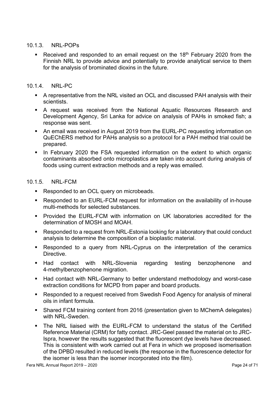#### 10.1.3. NRL-POPs

Received and responded to an email request on the  $18<sup>th</sup>$  February 2020 from the Finnish NRL to provide advice and potentially to provide analytical service to them for the analysis of brominated dioxins in the future.

#### 10.1.4. NRL-PC

- A representative from the NRL visited an OCL and discussed PAH analysis with their scientists.
- A request was received from the National Aquatic Resources Research and Development Agency, Sri Lanka for advice on analysis of PAHs in smoked fish; a response was sent.
- An email was received in August 2019 from the EURL-PC requesting information on QuEChERS method for PAHs analysis so a protocol for a PAH method trial could be prepared.
- In February 2020 the FSA requested information on the extent to which organic contaminants absorbed onto microplastics are taken into account during analysis of foods using current extraction methods and a reply was emailed.

#### 10.1.5. NRL-FCM

- Responded to an OCL query on microbeads.
- Responded to an EURL-FCM request for information on the availability of in-house multi-methods for selected substances.
- Provided the EURL-FCM with information on UK laboratories accredited for the determination of MOSH and MOAH.
- Responded to a request from NRL-Estonia looking for a laboratory that could conduct analysis to determine the composition of a bioplastic material.
- Responded to a query from NRL-Cyprus on the interpretation of the ceramics Directive.
- **Had contact with NRL-Slovenia regarding testing benzophenone and** 4-methylbenzophenone migration.
- Had contact with NRL-Germany to better understand methodology and worst-case extraction conditions for MCPD from paper and board products.
- Responded to a request received from Swedish Food Agency for analysis of mineral oils in infant formula.
- Shared FCM training content from 2016 (presentation given to MChemA delegates) with NRL-Sweden.
- The NRL liaised with the EURL-FCM to understand the status of the Certified Reference Material (CRM) for fatty contact. JRC-Geel passed the material on to JRC-Ispra, however the results suggested that the fluorescent dye levels have decreased. This is consistent with work carried out at Fera in which we proposed isomerisation of the DPBD resulted in reduced levels (the response in the fluorescence detector for the isomer is less than the isomer incorporated into the film).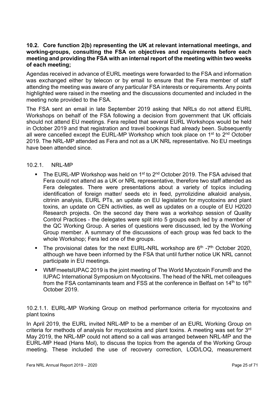#### 10.2. Core function 2(b) representing the UK at relevant international meetings, and working-groups, consulting the FSA on objectives and requirements before each meeting and providing the FSA with an internal report of the meeting within two weeks of each meeting;

Agendas received in advance of EURL meetings were forwarded to the FSA and information was exchanged either by telecon or by email to ensure that the Fera member of staff attending the meeting was aware of any particular FSA interests or requirements. Any points highlighted were raised in the meeting and the discussions documented and included in the meeting note provided to the FSA.

The FSA sent an email in late September 2019 asking that NRLs do not attend EURL Workshops on behalf of the FSA following a decision from government that UK officials should not attend EU meetings. Fera replied that several EURL Workshops would be held in October 2019 and that registration and travel bookings had already been. Subsequently all were cancelled except the EURL-MP Workshop which took place on 1<sup>st</sup> to 2<sup>nd</sup> October 2019. The NRL-MP attended as Fera and not as a UK NRL representative. No EU meetings have been attended since.

#### 10.2.1. NRL-MP

- The EURL-MP Workshop was held on 1<sup>st</sup> to 2<sup>nd</sup> October 2019. The FSA advised that Fera could not attend as a UK or NRL representative, therefore two staff attended as Fera delegates. There were presentations about a variety of topics including identification of foreign matter/ seeds etc in feed, pyrrolizidine alkaloid analysis, citrinin analysis, EURL PTs, an update on EU legislation for mycotoxins and plant toxins, an update on CEN activities, as well as updates on a couple of EU H2020 Research projects. On the second day there was a workshop session of Quality Control Practices - the delegates were split into 5 groups each led by a member of the QC Working Group. A series of questions were discussed, led by the Working Group member. A summary of the discussions of each group was fed back to the whole Workshop; Fera led one of the groups.
- The provisional dates for the next EURL-NRL workshop are  $6<sup>th</sup>$  -7<sup>th</sup> October 2020, although we have been informed by the FSA that until further notice UK NRL cannot participate in EU meetings.
- WMFmeetsIUPAC 2019 is the joint meeting of The World Mycotoxin Forum® and the IUPAC International Symposium on Mycotoxins. The head of the NRL met colleagues from the FSA contaminants team and FSS at the conference in Belfast on 14<sup>th</sup> to 16<sup>th</sup> October 2019.

10.2.1.1. EURL-MP Working Group on method performance criteria for mycotoxins and plant toxins

In April 2019, the EURL invited NRL-MP to be a member of an EURL Working Group on criteria for methods of analysis for mycotoxins and plant toxins. A meeting was set for 3rd May 2019, the NRL-MP could not attend so a call was arranged between NRL-MP and the EURL-MP Head (Hans Mol), to discuss the topics from the agenda of the Working Group meeting. These included the use of recovery correction, LOD/LOQ, measurement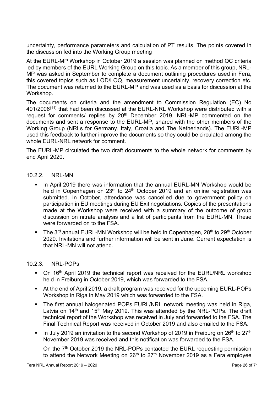uncertainty, performance parameters and calculation of PT results. The points covered in the discussion fed into the Working Group meeting

At the EURL-MP Workshop in October 2019 a session was planned on method QC criteria led by members of the EURL Working Group on this topic. As a member of this group, NRL-MP was asked in September to complete a document outlining procedures used in Fera, this covered topics such as LOD/LOQ, measurement uncertainty, recovery correction etc. The document was returned to the EURL-MP and was used as a basis for discussion at the Workshop.

The documents on criteria and the amendment to Commission Regulation (EC) No 401/2006(11) that had been discussed at the EURL-NRL Workshop were distributed with a request for comments/ replies by 20<sup>th</sup> December 2019. NRL-MP commented on the documents and sent a response to the EURL-MP, shared with the other members of the Working Group (NRLs for Germany, Italy, Croatia and The Netherlands). The EURL-MP used this feedback to further improve the documents so they could be circulated among the whole EURL-NRL network for comment.

The EURL-MP circulated the two draft documents to the whole network for comments by end April 2020.

#### 10.2.2. NRL-MN

- In April 2019 there was information that the annual EURL-MN Workshop would be held in Copenhagen on 23<sup>rd</sup> to 24<sup>th</sup> October 2019 and an online registration was submitted. In October, attendance was cancelled due to government policy on participation in EU meetings during EU Exit negotiations. Copies of the presentations made at the Workshop were received with a summary of the outcome of group discussion on nitrate analysis and a list of participants from the EURL-MN. These were forwarded on to the FSA.
- The 3<sup>rd</sup> annual EURL-MN Workshop will be held in Copenhagen,  $28<sup>th</sup>$  to  $29<sup>th</sup>$  October 2020. Invitations and further information will be sent in June. Current expectation is that NRL-MN will not attend.

#### 10.2.3. NRL-POPs

- On 16<sup>th</sup> April 2019 the technical report was received for the EURL/NRL workshop held in Freiburg in October 2019, which was forwarded to the FSA.
- At the end of April 2019, a draft program was received for the upcoming EURL-POPs Workshop in Riga in May 2019 which was forwarded to the FSA.
- The first annual halogenated POPs EURL/NRL network meeting was held in Riga, Latvia on  $14<sup>th</sup>$  and  $15<sup>th</sup>$  May 2019. This was attended by the NRL-POPs. The draft technical report of the Workshop was received in July and forwarded to the FSA. The Final Technical Report was received in October 2019 and also emailed to the FSA.
- In July 2019 an invitation to the second Workshop of 2019 in Freiburg on  $26<sup>th</sup>$  to  $27<sup>th</sup>$ November 2019 was received and this notification was forwarded to the FSA.

On the 7<sup>th</sup> October 2019 the NRL-POPs contacted the EURL requesting permission to attend the Network Meeting on  $26<sup>th</sup>$  to  $27<sup>th</sup>$  November 2019 as a Fera employee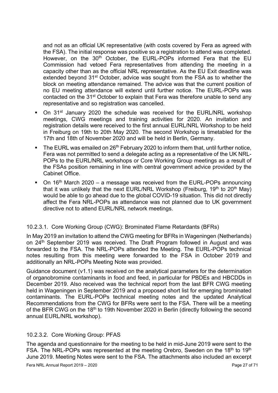and not as an official UK representative (with costs covered by Fera as agreed with the FSA). The initial response was positive so a registration to attend was completed. However, on the 30<sup>th</sup> October, the EURL-POPs informed Fera that the EU Commission had vetoed Fera representatives from attending the meeting in a capacity other than as the official NRL representative. As the EU Exit deadline was extended beyond 31<sup>st</sup> October, advice was sought from the FSA as to whether the block on meeting attendance remained. The advice was that the current position of no EU meeting attendance will extend until further notice. The EURL-POPs was contacted on the 31<sup>st</sup> October to explain that Fera was therefore unable to send any representative and so registration was cancelled.

- On 31<sup>st</sup> January 2020 the schedule was received for the EURL/NRL workshop meetings, CWG meetings and training activities for 2020. An invitation and registration details were received to the first annual EURL/NRL Workshop to be held in Freiburg on 19th to 20th May 2020. The second Workshop is timetabled for the 17th and 18th of November 2020 and will be held in Berlin, Germany.
- The EURL was emailed on  $26<sup>th</sup>$  February 2020 to inform them that, until further notice, Fera was not permitted to send a delegate acting as a representative of the UK NRL-POPs to the EURL/NRL workshops or Core Working Group meetings as a result of the FSAs position remaining in line with central government advice provided by the Cabinet Office.
- $\blacksquare$  On 16<sup>th</sup> March 2020 a message was received from the EURL-POPs announcing that it was unlikely that the next EURL/NRL Workshop (Freiburg,  $19<sup>th</sup>$  to  $20<sup>th</sup>$  May) would be able to go ahead due to the global COVID-19 situation. This did not directly affect the Fera NRL-POPs as attendance was not planned due to UK government directive not to attend EURL/NRL network meetings.

#### 10.2.3.1. Core Working Group (CWG): Brominated Flame Retardants (BFRs)

In May 2019 an invitation to attend the CWG meeting for BFRs in Wageningen (Netherlands) on 24<sup>th</sup> September 2019 was received. The Draft Program followed in August and was forwarded to the FSA. The NRL-POPs attended the Meeting. The EURL-POPs technical notes resulting from this meeting were forwarded to the FSA in October 2019 and additionally an NRL-POPs Meeting Note was provided.

Guidance document (v1.1) was received on the analytical parameters for the determination of organobromine contaminants in food and feed, in particular for PBDEs and HBCDDs in December 2019. Also received was the technical report from the last BFR CWG meeting held in Wageningen in September 2019 and a proposed short list for emerging brominated contaminants. The EURL-POPs technical meeting notes and the updated Analytical Recommendations from the CWG for BFRs were sent to the FSA. There will be a meeting of the BFR CWG on the 18<sup>th</sup> to 19th November 2020 in Berlin (directly following the second annual EURL/NRL workshop).

#### 10.2.3.2. Core Working Group: PFAS

The agenda and questionnaire for the meeting to be held in mid-June 2019 were sent to the FSA. The NRL-POPs was represented at the meeting Orebro, Sweden on the 18<sup>th</sup> to 19<sup>th</sup> June 2019. Meeting Notes were sent to the FSA. The attachments also included an excerpt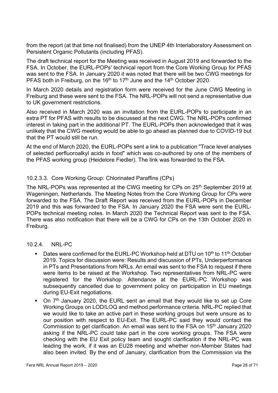from the report (at that time not finalised) from the UNEP 4th Interlaboratory Assessment on Persistent Organic Pollutants (including PFAS).

The draft technical report for the Meeting was received in August 2019 and forwarded to the FSA. In October, the EURL-POPs' technical report from the Core Working Group for PFAS was sent to the FSA. In January 2020 it was noted that there will be two CWG meetings for PFAS both in Freiburg, on the  $16<sup>th</sup>$  to 17<sup>th</sup> June and the 14<sup>th</sup> October 2020.

In March 2020 details and registration form were received for the June CWG Meeting in Freiburg and these were sent to the FSA. The NRL-POPs will not send a representative due to UK government restrictions.

Also received in March 2020 was an invitation from the EURL-POPs to participate in an extra PT for PFAS with results to be discussed at the next CWG. The NRL-POPs confirmed interest in taking part in the additional PT. The EURL-POPs then acknowledged that it was unlikely that the CWG meeting would be able to go ahead as planned due to COVID-19 but that the PT would still be run.

At the end of March 2020, the EURL-POPs sent a link to a publication "Trace level analyses of selected perfluoroalkyl acids in food" which was co-authored by one of the members of the PFAS working group (Heidelore Fiedler). The link was forwarded to the FSA.

#### 10.2.3.3. Core Working Group: Chlorinated Paraffins (CPs)

The NRL-POPs was represented at the CWG meeting for CPs on 25<sup>th</sup> September 2019 at Wageningen, Netherlands. The Meeting Notes from the Core Working Group for CPs were forwarded to the FSA. The Draft Report was received from the EURL-POPs in December 2019 and this was forwarded to the FSA. In January 2020 the FSA were sent the EURL-POPs technical meeting notes. In March 2020 the Technical Report was sent to the FSA. There was also notification that there will be a CWG for CPs on the 13th October 2020 in Freiburg.

#### 10.2.4. NRL-PC

- Dates were confirmed for the EURL-PC Workshop held at DTU on  $10<sup>th</sup>$  to  $11<sup>th</sup>$  October 2019. Topics for discussion were: Results and discussion of PTs, Underperformance in PTs and Presentations from NRLs. An email was sent to the FSA to request if there were items to be raised at the Workshop. Two representatives from NRL-PC were registered for the Workshop. Attendance at the EURL-PC Workshop was subsequently cancelled due to government policy on participation in EU meetings during EU-Exit negotiations.
- $\blacksquare$  On  $7<sup>th</sup>$  January 2020, the EURL sent an email that they would like to set up Core Working Groups on LOD/LOQ and method performance criteria. NRL-PC replied that we would like to take an active part in these working groups but were unsure as to our position with respect to EU-Exit. The EURL-PC said they would contact the Commission to get clarification. An email was sent to the FSA on 15<sup>th</sup> January 2020 asking if the NRL-PC could take part in the core working groups. The FSA were checking with the EU Exit policy team and sought clarification if the NRL-PC was leading the work, if it was an EU28 meeting and whether non-Member States had also been invited. By the end of January, clarification from the Commission via the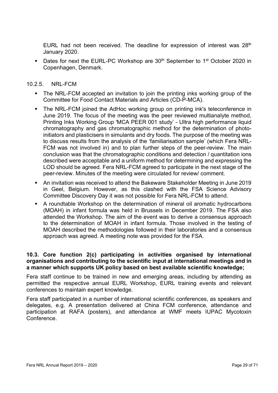EURL had not been received. The deadline for expression of interest was  $28<sup>th</sup>$ January 2020.

Dates for next the EURL-PC Workshop are 30<sup>th</sup> September to 1<sup>st</sup> October 2020 in Copenhagen, Denmark.

#### 10.2.5. NRL-FCM

- The NRL-FCM accepted an invitation to join the printing inks working group of the Committee for Food Contact Materials and Articles (CD-P-MCA).
- The NRL-FCM joined the AdHoc working group on printing ink's teleconference in June 2019. The focus of the meeting was the peer reviewed multianalyte method, Printing Inks Working Group 'MCA PEER 001 study' - Ultra high performance liquid chromatography and gas chromatographic method for the determination of photoinitiators and plasticisers in simulants and dry foods. The purpose of the meeting was to discuss results from the analysis of the 'familiarisation sample' (which Fera NRL-FCM was not involved in) and to plan further steps of the peer-review. The main conclusion was that the chromatographic conditions and detection / quantitation ions described were acceptable and a uniform method for determining and expressing the LOD should be agreed. Fera NRL-FCM agreed to participate in the next stage of the peer-review. Minutes of the meeting were circulated for review/ comment.
- An invitation was received to attend the Bakeware Stakeholder Meeting in June 2019 in Geel, Belgium. However, as this clashed with the FSA Science Advisory Committee Discovery Day it was not possible for Fera NRL-FCM to attend.
- A roundtable Workshop on the determination of mineral oil aromatic hydrocarbons (MOAH) in infant formula was held in Brussels in December 2019. The FSA also attended the Workshop. The aim of the event was to derive a consensus approach to the determination of MOAH in infant formula. Those involved in the testing of MOAH described the methodologies followed in their laboratories and a consensus approach was agreed. A meeting note was provided for the FSA.

#### 10.3. Core function 2(c) participating in activities organised by international organisations and contributing to the scientific input at international meetings and in a manner which supports UK policy based on best available scientific knowledge;

Fera staff continue to be trained in new and emerging areas, including by attending as permitted the respective annual EURL Workshop, EURL training events and relevant conferences to maintain expert knowledge.

Fera staff participated in a number of international scientific conferences, as speakers and delegates, e.g. A presentation delivered at China FCM conference, attendance and participation at RAFA (posters), and attendance at WMF meets IUPAC Mycotoxin Conference.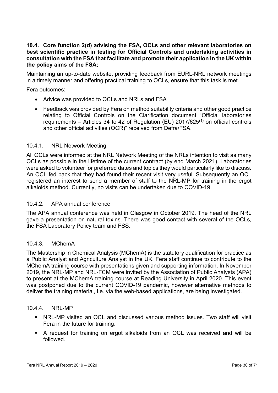#### 10.4. Core function 2(d) advising the FSA, OCLs and other relevant laboratories on best scientific practice in testing for Official Controls and undertaking activities in consultation with the FSA that facilitate and promote their application in the UK within the policy aims of the FSA;

Maintaining an up-to-date website, providing feedback from EURL-NRL network meetings in a timely manner and offering practical training to OCLs, ensure that this task is met.

Fera outcomes:

- Advice was provided to OCLs and NRLs and FSA
- Feedback was provided by Fera on method suitability criteria and other good practice relating to Official Controls on the Clarification document "Official laboratories requirements – Articles 34 to 42 of Regulation (EU)  $2017/625^{(1)}$  on official controls and other official activities (OCR)" received from Defra/FSA.

#### 10.4.1. NRL Network Meeting

All OCLs were informed at the NRL Network Meeting of the NRLs intention to visit as many OCLs as possible in the lifetime of the current contract (by end March 2021). Laboratories were asked to volunteer for preferred dates and topics they would particularly like to discuss. An OCL fed back that they had found their recent visit very useful. Subsequently an OCL registered an interest to send a member of staff to the NRL-MP for training in the ergot alkaloids method. Currently, no visits can be undertaken due to COVID-19.

#### 10.4.2. APA annual conference

The APA annual conference was held in Glasgow in October 2019. The head of the NRL gave a presentation on natural toxins. There was good contact with several of the OCLs, the FSA Laboratory Policy team and FSS.

#### 10.4.3. MChemA

The Mastership in Chemical Analysis (MChemA) is the statutory qualification for practice as a Public Analyst and Agriculture Analyst in the UK. Fera staff continue to contribute to the MChemA training course with presentations given and supporting information. In November 2019, the NRL-MP and NRL-FCM were invited by the Association of Public Analysts (APA) to present at the MChemA training course at Reading University in April 2020. This event was postponed due to the current COVID-19 pandemic, however alternative methods to deliver the training material, i.e. via the web-based applications, are being investigated.

#### 10.4.4. NRL-MP

- NRL-MP visited an OCL and discussed various method issues. Two staff will visit Fera in the future for training.
- A request for training on ergot alkaloids from an OCL was received and will be followed.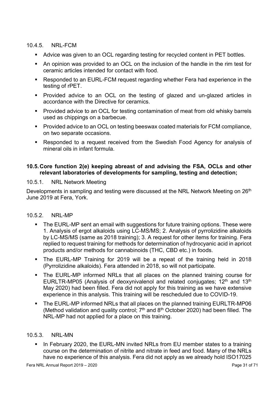#### 10.4.5. NRL-FCM

- Advice was given to an OCL regarding testing for recycled content in PET bottles.
- An opinion was provided to an OCL on the inclusion of the handle in the rim test for ceramic articles intended for contact with food.
- Responded to an EURL-FCM request regarding whether Fera had experience in the testing of rPET.
- Provided advice to an OCL on the testing of glazed and un-glazed articles in accordance with the Directive for ceramics.
- Provided advice to an OCL for testing contamination of meat from old whisky barrels used as chippings on a barbecue.
- **Provided advice to an OCL on testing beeswax coated materials for FCM compliance,** on two separate occasions.
- Responded to a request received from the Swedish Food Agency for analysis of mineral oils in infant formula.

#### 10.5. Core function 2(e) keeping abreast of and advising the FSA, OCLs and other relevant laboratories of developments for sampling, testing and detection;

#### 10.5.1. NRL Network Meeting

Developments in sampling and testing were discussed at the NRL Network Meeting on 26<sup>th</sup> June 2019 at Fera, York.

#### 10.5.2. NRL-MP

- **The EURL-MP sent an email with suggestions for future training options. These were** 1. Analysis of ergot alkaloids using LC-MS/MS; 2. Analysis of pyrrolizidine alkaloids by LC-MS/MS (same as 2018 training); 3. A request for other items for training. Fera replied to request training for methods for determination of hydrocyanic acid in apricot products and/or methods for cannabinoids (THC, CBD etc.) in foods.
- The EURL-MP Training for 2019 will be a repeat of the training held in 2018 (Pyrrolizidine alkaloids). Fera attended in 2018, so will not participate.
- The EURL-MP informed NRLs that all places on the planned training course for EURLTR-MP05 (Analysis of deoxynivalenol and related conjugates;  $12<sup>th</sup>$  and  $13<sup>th</sup>$ May 2020) had been filled. Fera did not apply for this training as we have extensive experience in this analysis. This training will be rescheduled due to COVID-19.
- The EURL-MP informed NRLs that all places on the planned training EURLTR-MP06 (Method validation and quality control:  $7<sup>th</sup>$  and  $8<sup>th</sup>$  October 2020) had been filled. The NRL-MP had not applied for a place on this training.

#### 10.5.3. NRL-MN

In February 2020, the EURL-MN invited NRLs from EU member states to a training course on the determination of nitrite and nitrate in feed and food. Many of the NRLs have no experience of this analysis. Fera did not apply as we already hold ISO17025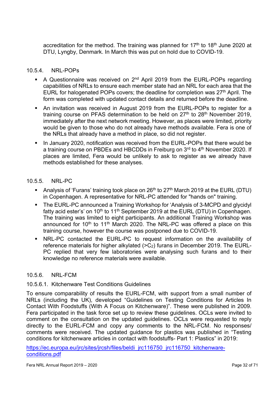accreditation for the method. The training was planned for  $17<sup>th</sup>$  to  $18<sup>th</sup>$  June 2020 at DTU, Lyngby, Denmark. In March this was put on hold due to COVID-19.

#### 10.5.4. NRL-POPs

- A Questionnaire was received on  $2<sup>nd</sup>$  April 2019 from the EURL-POPs regarding capabilities of NRLs to ensure each member state had an NRL for each area that the EURL for halogenated POPs covers; the deadline for completion was  $27<sup>th</sup>$  April. The form was completed with updated contact details and returned before the deadline.
- An invitation was received in August 2019 from the EURL-POPs to register for a training course on PFAS determination to be held on  $27<sup>th</sup>$  to  $28<sup>th</sup>$  November 2019, immediately after the next network meeting. However, as places were limited, priority would be given to those who do not already have methods available. Fera is one of the NRLs that already have a method in place, so did not register.
- In January 2020, notification was received from the EURL-POPs that there would be a training course on PBDEs and HBCDDs in Freiburg on 3rd to 4<sup>th</sup> November 2020. If places are limited, Fera would be unlikely to ask to register as we already have methods established for these analyses.

#### 10.5.5. NRL-PC

- Analysis of 'Furans' training took place on  $26<sup>th</sup>$  to  $27<sup>th</sup>$  March 2019 at the EURL (DTU) in Copenhagen. A representative for NRL-PC attended for "hands on" training.
- **The EURL-PC announced a Training Workshop for 'Analysis of 3-MCPD and glycidyl** fatty acid ester's' on  $10<sup>th</sup>$  to  $11<sup>th</sup>$  September 2019 at the EURL (DTU) in Copenhagen. The training was limited to eight participants. An additional Training Workshop was announced for 10<sup>th</sup> to 11<sup>th</sup> March 2020. The NRL-PC was offered a place on this training course, however the course was postponed due to COVID-19.
- NRL-PC contacted the EURL-PC to request information on the availability of reference materials for higher alkylated (>C2) furans in December 2019. The EURL-PC replied that very few laboratories were analysing such furans and to their knowledge no reference materials were available.

#### 10.5.6. NRL-FCM

#### 10.5.6.1. Kitchenware Test Conditions Guidelines

To ensure comparability of results the EURL-FCM, with support from a small number of NRLs (including the UK), developed "Guidelines on Testing Conditions for Articles In Contact With Foodstuffs (With A Focus on Kitchenware)". These were published in 2009. Fera participated in the task force set up to review these guidelines. OCLs were invited to comment on the consultation on the updated guidelines. OCLs were requested to reply directly to the EURL-FCM and copy any comments to the NRL-FCM. No responses/ comments were received. The updated guidance for plastics was published in "Testing conditions for kitchenware articles in contact with foodstuffs- Part 1: Plastics" in 2019:

https://ec.europa.eu/jrc/sites/jrcsh/files/beldi\_jrc116750\_jrc116750\_kitchenwareconditions.pdf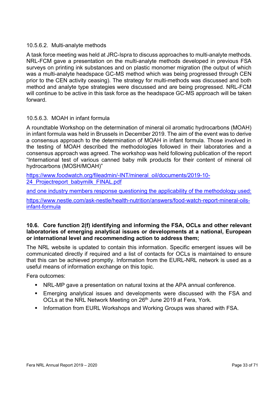#### 10.5.6.2. Multi-analyte methods

A task force meeting was held at JRC-Ispra to discuss approaches to multi-analyte methods. NRL-FCM gave a presentation on the multi-analyte methods developed in previous FSA surveys on printing ink substances and on plastic monomer migration (the output of which was a multi-analyte headspace GC-MS method which was being progressed through CEN prior to the CEN activity ceasing). The strategy for multi-methods was discussed and both method and analyte type strategies were discussed and are being progressed. NRL-FCM will continue to be active in this task force as the headspace GC-MS approach will be taken forward.

#### 10.5.6.3. MOAH in infant formula

A roundtable Workshop on the determination of mineral oil aromatic hydrocarbons (MOAH) in infant formula was held in Brussels in December 2019. The aim of the event was to derive a consensus approach to the determination of MOAH in infant formula. Those involved in the testing of MOAH described the methodologies followed in their laboratories and a consensus approach was agreed. The workshop was held following publication of the report "International test of various canned baby milk products for their content of mineral oil hydrocarbons (MOSH/MOAH)"

https://www.foodwatch.org/fileadmin/-INT/mineral\_oil/documents/2019-10- 24 Projectreport\_babymilk\_FINAL.pdf

and one industry members response questioning the applicability of the methodology used:

https://www.nestle.com/ask-nestle/health-nutrition/answers/food-watch-report-mineral-oilsinfant-formula

#### 10.6. Core function 2(f) identifying and informing the FSA, OCLs and other relevant laboratories of emerging analytical issues or developments at a national, European or international level and recommending action to address them;

The NRL website is updated to contain this information. Specific emergent issues will be communicated directly if required and a list of contacts for OCLs is maintained to ensure that this can be achieved promptly. Information from the EURL-NRL network is used as a useful means of information exchange on this topic.

Fera outcomes:

- NRL-MP gave a presentation on natural toxins at the APA annual conference.
- Emerging analytical issues and developments were discussed with the FSA and OCLs at the NRL Network Meeting on 26<sup>th</sup> June 2019 at Fera, York.
- **Information from EURL Workshops and Working Groups was shared with FSA.**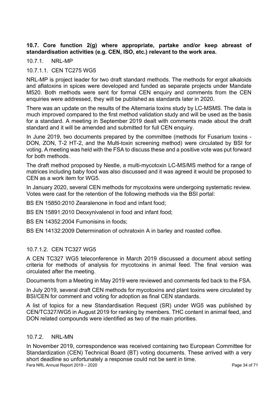#### 10.7. Core function 2(g) where appropriate, partake and/or keep abreast of standardisation activities (e.g. CEN, ISO, etc.) relevant to the work area.

10.7.1. NRL-MP

#### 10.7.1.1. CEN TC275 WG5

NRL-MP is project leader for two draft standard methods. The methods for ergot alkaloids and aflatoxins in spices were developed and funded as separate projects under Mandate M520. Both methods were sent for formal CEN enquiry and comments from the CEN enquiries were addressed, they will be published as standards later in 2020.

There was an update on the results of the Alternaria toxins study by LC-MSMS. The data is much improved compared to the first method validation study and will be used as the basis for a standard. A meeting in September 2019 dealt with comments made about the draft standard and it will be amended and submitted for full CEN enquiry.

In June 2019, two documents prepared by the committee (methods for Fusarium toxins - DON, ZON, T-2 HT-2, and the Multi-toxin screening method) were circulated by BSI for voting. A meeting was held with the FSA to discuss these and a positive vote was put forward for both methods.

The draft method proposed by Nestle, a multi-mycotoxin LC-MS/MS method for a range of matrices including baby food was also discussed and it was agreed it would be proposed to CEN as a work item for WG5.

In January 2020, several CEN methods for mycotoxins were undergoing systematic review. Votes were cast for the retention of the following methods via the BSI portal:

BS EN 15850:2010 Zearalenone in food and infant food;

BS EN 15891:2010 Deoxynivalenol in food and infant food;

BS EN 14352:2004 Fumonisins in foods;

BS EN 14132:2009 Determination of ochratoxin A in barley and roasted coffee.

#### 10.7.1.2. CEN TC327 WG5

A CEN TC327 WG5 teleconference in March 2019 discussed a document about setting criteria for methods of analysis for mycotoxins in animal feed. The final version was circulated after the meeting.

Documents from a Meeting in May 2019 were reviewed and comments fed back to the FSA.

In July 2019, several draft CEN methods for mycotoxins and plant toxins were circulated by BSI/CEN for comment and voting for adoption as final CEN standards.

A list of topics for a new Standardisation Request (SR) under WG5 was published by CEN/TC327/WG5 in August 2019 for ranking by members. THC content in animal feed, and DON related compounds were identified as two of the main priorities.

#### 10.7.2. NRL-MN

Fera NRL Annual Report 2019 – 2020 In November 2019, correspondence was received containing two European Committee for Standardization (CEN) Technical Board (BT) voting documents. These arrived with a very short deadline so unfortunately a response could not be sent in time.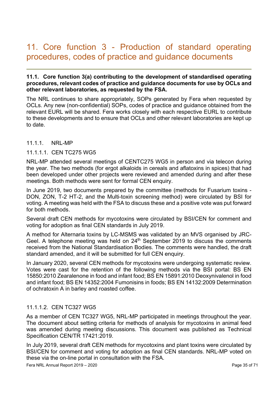### 11. Core function 3 - Production of standard operating procedures, codes of practice and guidance documents

#### 11.1. Core function 3(a) contributing to the development of standardised operating procedures, relevant codes of practice and guidance documents for use by OCLs and other relevant laboratories, as requested by the FSA.

The NRL continues to share appropriately, SOPs generated by Fera when requested by OCLs. Any new (non-confidential) SOPs, codes of practice and guidance obtained from the relevant EURL will be shared. Fera works closely with each respective EURL to contribute to these developments and to ensure that OCLs and other relevant laboratories are kept up to date.

#### 11.1.1. NRL-MP

#### 11.1.1.1. CEN TC275 WG5

NRL-MP attended several meetings of CENTC275 WG5 in person and via telecon during the year. The two methods (for ergot alkaloids in cereals and aflatoxins in spices) that had been developed under other projects were reviewed and amended during and after these meetings. Both methods were sent for formal CEN enquiry.

In June 2019, two documents prepared by the committee (methods for Fusarium toxins - DON, ZON, T-2 HT-2, and the Multi-toxin screening method) were circulated by BSI for voting. A meeting was held with the FSA to discuss these and a positive vote was put forward for both methods.

Several draft CEN methods for mycotoxins were circulated by BSI/CEN for comment and voting for adoption as final CEN standards in July 2019.

A method for Alternaria toxins by LC-MSMS was validated by an MVS organised by JRC-Geel. A telephone meeting was held on  $24<sup>th</sup>$  September 2019 to discuss the comments received from the National Standardisation Bodies. The comments were handled, the draft standard amended, and it will be submitted for full CEN enquiry.

In January 2020, several CEN methods for mycotoxins were undergoing systematic review. Votes were cast for the retention of the following methods via the BSI portal: BS EN 15850:2010 Zearalenone in food and infant food; BS EN 15891:2010 Deoxynivalenol in food and infant food; BS EN 14352:2004 Fumonisins in foods; BS EN 14132:2009 Determination of ochratoxin A in barley and roasted coffee.

#### 11.1.1.2. CEN TC327 WG5

As a member of CEN TC327 WG5, NRL-MP participated in meetings throughout the year. The document about setting criteria for methods of analysis for mycotoxins in animal feed was amended during meeting discussions. This document was published as Technical Specification CEN/TR 17421:2019.

In July 2019, several draft CEN methods for mycotoxins and plant toxins were circulated by BSI/CEN for comment and voting for adoption as final CEN standards. NRL-MP voted on these via the on-line portal in consultation with the FSA.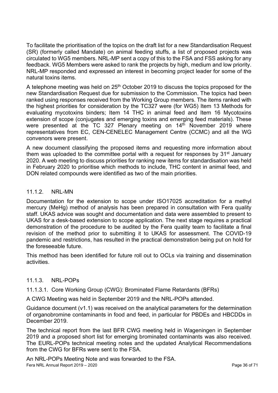To facilitate the prioritisation of the topics on the draft list for a new Standardisation Request (SR) (formerly called Mandate) on animal feeding stuffs, a list of proposed projects was circulated to WG5 members. NRL-MP sent a copy of this to the FSA and FSS asking for any feedback. WG5 Members were asked to rank the projects by high, medium and low priority. NRL-MP responded and expressed an interest in becoming project leader for some of the natural toxins items.

A telephone meeting was held on  $25<sup>th</sup>$  October 2019 to discuss the topics proposed for the new Standardisation Request due for submission to the Commission. The topics had been ranked using responses received from the Working Group members. The items ranked with the highest priorities for consideration by the TC327 were (for WG5) Item 13 Methods for evaluating mycotoxins binders; Item 14 THC in animal feed and Item 16 Mycotoxins extension of scope (conjugates and emerging toxins and emerging feed materials). These were presented at the TC 327 Plenary meeting on 14th November 2019 where representatives from EC, CEN-CENELEC Management Centre (CCMC) and all the WG convenors were present.

A new document classifying the proposed items and requesting more information about them was uploaded to the committee portal with a request for responses by 31<sup>st</sup> January 2020. A web meeting to discuss priorities for ranking new items for standardisation was held in February 2020 to prioritise which methods to include, THC content in animal feed, and DON related compounds were identified as two of the main priorities.

#### 11.1.2. NRL-MN

Documentation for the extension to scope under ISO17025 accreditation for a methyl mercury (MeHg) method of analysis has been prepared in consultation with Fera quality staff. UKAS advice was sought and documentation and data were assembled to present to UKAS for a desk-based extension to scope application. The next stage requires a practical demonstration of the procedure to be audited by the Fera quality team to facilitate a final revision of the method prior to submitting it to UKAS for assessment. The COVID-19 pandemic and restrictions, has resulted in the practical demonstration being put on hold for the foreseeable future.

This method has been identified for future roll out to OCLs via training and dissemination activities.

#### 11.1.3. NRL-POPs

11.1.3.1. Core Working Group (CWG): Brominated Flame Retardants (BFRs)

A CWG Meeting was held in September 2019 and the NRL-POPs attended.

Guidance document (v1.1) was received on the analytical parameters for the determination of organobromine contaminants in food and feed, in particular for PBDEs and HBCDDs in December 2019.

The technical report from the last BFR CWG meeting held in Wageningen in September 2019 and a proposed short list for emerging brominated contaminants was also received. The EURL-POPs technical meeting notes and the updated Analytical Recommendations from the CWG for BFRs were sent to the FSA.

Fera NRL Annual Report 2019 – 2020 **Page 36 of 71** An NRL-POPs Meeting Note and was forwarded to the FSA.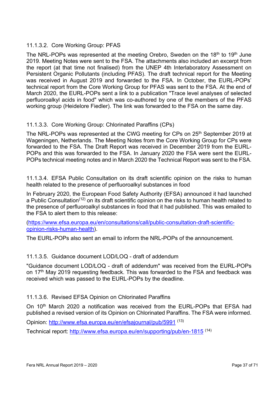#### 11.1.3.2. Core Working Group: PFAS

The NRL-POPs was represented at the meeting Orebro, Sweden on the 18<sup>th</sup> to 19<sup>th</sup> June 2019. Meeting Notes were sent to the FSA. The attachments also included an excerpt from the report (at that time not finalised) from the UNEP 4th Interlaboratory Assessment on Persistent Organic Pollutants (including PFAS). The draft technical report for the Meeting was received in August 2019 and forwarded to the FSA. In October, the EURL-POPs' technical report from the Core Working Group for PFAS was sent to the FSA. At the end of March 2020, the EURL-POPs sent a link to a publication "Trace level analyses of selected perfluoroalkyl acids in food" which was co-authored by one of the members of the PFAS working group (Heidelore Fiedler). The link was forwarded to the FSA on the same day.

#### 11.1.3.3. Core Working Group: Chlorinated Paraffins (CPs)

The NRL-POPs was represented at the CWG meeting for CPs on 25<sup>th</sup> September 2019 at Wageningen, Netherlands. The Meeting Notes from the Core Working Group for CPs were forwarded to the FSA. The Draft Report was received in December 2019 from the EURL-POPs and this was forwarded to the FSA. In January 2020 the FSA were sent the EURL-POPs technical meeting notes and in March 2020 the Technical Report was sent to the FSA.

11.1.3.4. EFSA Public Consultation on its draft scientific opinion on the risks to human health related to the presence of perfluoroalkyl substances in food

In February 2020, the European Food Safety Authority (EFSA) announced it had launched a Public Consultation<sup>(12)</sup> on its draft scientific opinion on the risks to human health related to the presence of perfluoroalkyl substances in food that it had published. This was emailed to the FSA to alert them to this release:

(https://www.efsa.europa.eu/en/consultations/call/public-consultation-draft-scientificopinion-risks-human-health).

The EURL-POPs also sent an email to inform the NRL-POPs of the announcement.

#### 11.1.3.5. Guidance document LOD/LOQ - draft of addendum

"Guidance document LOD/LOQ - draft of addendum" was received from the EURL-POPs on 17<sup>th</sup> May 2019 requesting feedback. This was forwarded to the FSA and feedback was received which was passed to the EURL-POPs by the deadline.

#### 11.1.3.6. Revised EFSA Opinion on Chlorinated Paraffins

On 10<sup>th</sup> March 2020 a notification was received from the EURL-POPs that EFSA had published a revised version of its Opinion on Chlorinated Paraffins. The FSA were informed.

Opinion: http://www.efsa.europa.eu/en/efsajournal/pub/5991 (13)

Technical report: http://www.efsa.europa.eu/en/supporting/pub/en-1815 (14)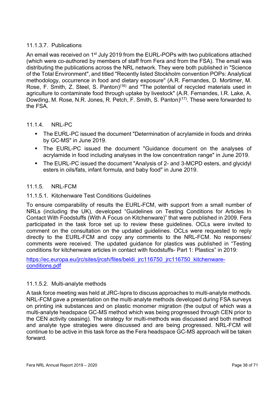#### 11.1.3.7. Publications

An email was received on 1<sup>st</sup> July 2019 from the EURL-POPs with two publications attached (which were co-authored by members of staff from Fera and from the FSA). The email was distributing the publications across the NRL network. They were both published in "Science of the Total Environment", and titled "Recently listed Stockholm convention POPs: Analytical methodology, occurrence in food and dietary exposure" (A.R. Fernandes, D. Mortimer, M. Rose, F. Smith, Z. Steel, S. Panton)<sup>(16)</sup> and "The potential of recycled materials used in agriculture to contaminate food through uptake by livestock" (A.R. Fernandes, I.R. Lake, A. Dowding, M. Rose, N.R. Jones, R. Petch, F. Smith, S. Panton)<sup>(17)</sup>. These were forwarded to the FSA.

#### 11.1.4. NRL-PC

- The EURL-PC issued the document "Determination of acrylamide in foods and drinks by GC-MS" in June 2019.
- The EURL-PC issued the document "Guidance document on the analyses of acrylamide in food including analyses in the low concentration range" in June 2019.
- The EURL-PC issued the document "Analysis of 2- and 3-MCPD esters, and glycidyl esters in oils/fats, infant formula, and baby food" in June 2019.

#### 11.1.5. NRL-FCM

#### 11.1.5.1. Kitchenware Test Conditions Guidelines

To ensure comparability of results the EURL-FCM, with support from a small number of NRLs (including the UK), developed "Guidelines on Testing Conditions for Articles In Contact With Foodstuffs (With A Focus on Kitchenware)" that were published in 2009. Fera participated in the task force set up to review these guidelines. OCLs were invited to comment on the consultation on the updated guidelines. OCLs were requested to reply directly to the EURL-FCM and copy any comments to the NRL-FCM. No responses/ comments were received. The updated guidance for plastics was published in "Testing conditions for kitchenware articles in contact with foodstuffs- Part 1: Plastics" in 2019:

https://ec.europa.eu/jrc/sites/jrcsh/files/beldi\_jrc116750\_jrc116750\_kitchenwareconditions.pdf

#### 11.1.5.2. Multi-analyte methods

A task force meeting was held at JRC-Ispra to discuss approaches to multi-analyte methods. NRL-FCM gave a presentation on the multi-analyte methods developed during FSA surveys on printing ink substances and on plastic monomer migration (the output of which was a multi-analyte headspace GC-MS method which was being progressed through CEN prior to the CEN activity ceasing). The strategy for multi-methods was discussed and both method and analyte type strategies were discussed and are being progressed. NRL-FCM will continue to be active in this task force as the Fera headspace GC-MS approach will be taken forward.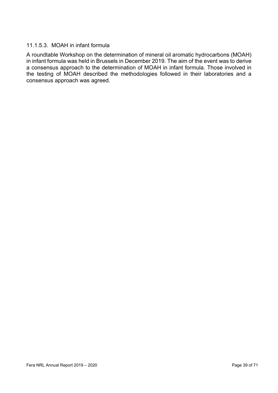#### 11.1.5.3. MOAH in infant formula

A roundtable Workshop on the determination of mineral oil aromatic hydrocarbons (MOAH) in infant formula was held in Brussels in December 2019. The aim of the event was to derive a consensus approach to the determination of MOAH in infant formula. Those involved in the testing of MOAH described the methodologies followed in their laboratories and a consensus approach was agreed.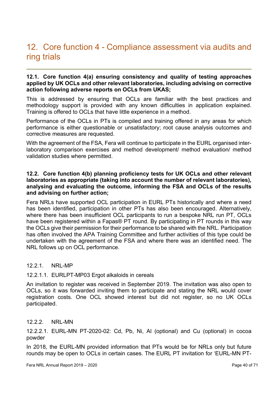### 12. Core function 4 - Compliance assessment via audits and ring trials

#### 12.1. Core function 4(a) ensuring consistency and quality of testing approaches applied by UK OCLs and other relevant laboratories, including advising on corrective action following adverse reports on OCLs from UKAS;

This is addressed by ensuring that OCLs are familiar with the best practices and methodology support is provided with any known difficulties in application explained. Training is offered to OCLs that have little experience in a method.

Performance of the OCLs in PTs is compiled and training offered in any areas for which performance is either questionable or unsatisfactory; root cause analysis outcomes and corrective measures are requested.

With the agreement of the FSA, Fera will continue to participate in the EURL organised interlaboratory comparison exercises and method development/ method evaluation/ method validation studies where permitted.

#### 12.2. Core function 4(b) planning proficiency tests for UK OCLs and other relevant laboratories as appropriate (taking into account the number of relevant laboratories), analysing and evaluating the outcome, informing the FSA and OCLs of the results and advising on further action;

Fera NRLs have supported OCL participation in EURL PTs historically and where a need has been identified, participation in other PTs has also been encouraged. Alternatively, where there has been insufficient OCL participants to run a bespoke NRL run PT, OCLs have been registered within a Fapas<sup>®</sup> PT round. By participating in PT rounds in this way the OCLs give their permission for their performance to be shared with the NRL. Participation has often involved the APA Training Committee and further activities of this type could be undertaken with the agreement of the FSA and where there was an identified need. The NRL follows up on OCL performance.

#### 12.2.1. NRL-MP

#### 12.2.1.1. EURLPT-MP03 Ergot alkaloids in cereals

An invitation to register was received in September 2019. The invitation was also open to OCLs, so it was forwarded inviting them to participate and stating the NRL would cover registration costs. One OCL showed interest but did not register, so no UK OCLs participated.

#### 12.2.2. NRL-MN

12.2.2.1. EURL-MN PT-2020-02: Cd, Pb, Ni, Al (optional) and Cu (optional) in cocoa powder

In 2018, the EURL-MN provided information that PTs would be for NRLs only but future rounds may be open to OCLs in certain cases. The EURL PT invitation for 'EURL-MN PT-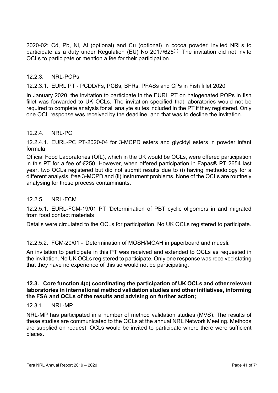2020-02: Cd, Pb, Ni, Al (optional) and Cu (optional) in cocoa powder' invited NRLs to participate as a duty under Regulation (EU) No  $2017/625$ <sup>(1)</sup>. The invitation did not invite OCLs to participate or mention a fee for their participation.

#### 12.2.3. NRL-POPs

12.2.3.1. EURL PT - PCDD/Fs, PCBs, BFRs, PFASs and CPs in Fish fillet 2020

In January 2020, the invitation to participate in the EURL PT on halogenated POPs in fish fillet was forwarded to UK OCLs. The invitation specified that laboratories would not be required to complete analysis for all analyte suites included in the PT if they registered. Only one OCL response was received by the deadline, and that was to decline the invitation.

#### 12.2.4. NRL-PC

12.2.4.1. EURL-PC PT-2020-04 for 3-MCPD esters and glycidyl esters in powder infant formula

Official Food Laboratories (OfL), which in the UK would be OCLs, were offered participation in this PT for a fee of €250. However, when offered participation in Fapas® PT 2654 last year, two OCLs registered but did not submit results due to (i) having methodology for a different analysis, free 3-MCPD and (ii) instrument problems. None of the OCLs are routinely analysing for these process contaminants.

#### 12.2.5. NRL-FCM

12.2.5.1. EURL-FCM-19/01 PT 'Determination of PBT cyclic oligomers in and migrated from food contact materials

Details were circulated to the OCLs for participation. No UK OCLs registered to participate.

#### 12.2.5.2. FCM-20/01 - 'Determination of MOSH/MOAH in paperboard and muesli.

An invitation to participate in this PT was received and extended to OCLs as requested in the invitation. No UK OCLs registered to participate. Only one response was received stating that they have no experience of this so would not be participating.

#### 12.3. Core function 4(c) coordinating the participation of UK OCLs and other relevant laboratories in international method validation studies and other initiatives, informing the FSA and OCLs of the results and advising on further action;

#### 12.3.1. NRL-MP

NRL-MP has participated in a number of method validation studies (MVS). The results of these studies are communicated to the OCLs at the annual NRL Network Meeting. Methods are supplied on request. OCLs would be invited to participate where there were sufficient places.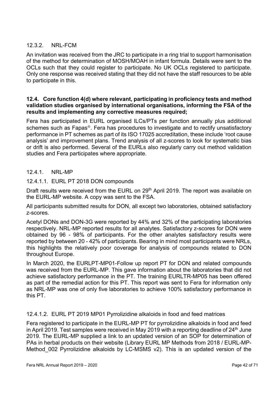#### 12.3.2. NRL-FCM

An invitation was received from the JRC to participate in a ring trial to support harmonisation of the method for determination of MOSH/MOAH in infant formula. Details were sent to the OCLs such that they could register to participate. No UK OCLs registered to participate. Only one response was received stating that they did not have the staff resources to be able to participate in this.

#### 12.4. Core function 4(d) where relevant, participating in proficiency tests and method validation studies organised by international organisations, informing the FSA of the results and implementing any corrective measures required;

Fera has participated in EURL organised ILCs/PTs per function annually plus additional schemes such as Fapas<sup>®</sup>. Fera has procedures to investigate and to rectify unsatisfactory performance in PT schemes as part of its ISO 17025 accreditation, these include 'root cause analysis' and improvement plans. Trend analysis of all z-scores to look for systematic bias or drift is also performed. Several of the EURLs also regularly carry out method validation studies and Fera participates where appropriate.

#### 12.4.1. NRL-MP

#### 12.4.1.1. EURL PT 2018 DON compounds

Draft results were received from the EURL on 29<sup>th</sup> April 2019. The report was available on the EURL-MP website. A copy was sent to the FSA.

All participants submitted results for DON, all except two laboratories, obtained satisfactory z-scores.

Acetyl DONs and DON-3G were reported by 44% and 32% of the participating laboratories respectively. NRL-MP reported results for all analytes. Satisfactory z-scores for DON were obtained by 96 - 98% of participants. For the other analytes satisfactory results were reported by between 20 - 42% of participants. Bearing in mind most participants were NRLs, this highlights the relatively poor coverage for analysis of compounds related to DON throughout Europe.

In March 2020, the EURLPT-MP01-Follow up report PT for DON and related compounds was received from the EURL-MP. This gave information about the laboratories that did not achieve satisfactory performance in the PT. The training EURLTR-MP05 has been offered as part of the remedial action for this PT. This report was sent to Fera for information only as NRL-MP was one of only five laboratories to achieve 100% satisfactory performance in this PT.

#### 12.4.1.2. EURL PT 2019 MP01 Pyrrolizidine alkaloids in food and feed matrices

Fera registered to participate in the EURL-MP PT for pyrrolizidine alkaloids in food and feed in April 2019. Test samples were received in May 2019 with a reporting deadline of  $24<sup>th</sup>$  June 2019. The EURL-MP supplied a link to an updated version of an SOP for determination of PAs in herbal products on their website (Library EURL MP Methods from 2018 / EURL-MP-Method 002 Pyrrolizidine alkaloids by LC-MSMS v2). This is an updated version of the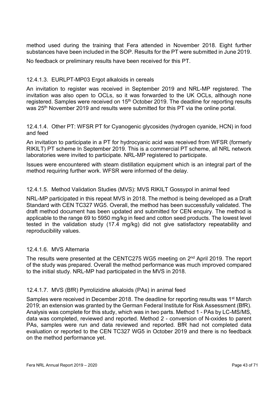method used during the training that Fera attended in November 2018. Eight further substances have been included in the SOP. Results for the PT were submitted in June 2019.

No feedback or preliminary results have been received for this PT.

#### 12.4.1.3. EURLPT-MP03 Ergot alkaloids in cereals

An invitation to register was received in September 2019 and NRL-MP registered. The invitation was also open to OCLs, so it was forwarded to the UK OCLs, although none registered. Samples were received on 15<sup>th</sup> October 2019. The deadline for reporting results was 25<sup>th</sup> November 2019 and results were submitted for this PT via the online portal.

12.4.1.4. Other PT: WFSR PT for Cyanogenic glycosides (hydrogen cyanide, HCN) in food and feed

An invitation to participate in a PT for hydrocyanic acid was received from WFSR (formerly RIKILT) PT scheme In September 2019. This is a commercial PT scheme, all NRL network laboratories were invited to participate. NRL-MP registered to participate.

Issues were encountered with steam distillation equipment which is an integral part of the method requiring further work. WFSR were informed of the delay.

#### 12.4.1.5. Method Validation Studies (MVS): MVS RIKILT Gossypol in animal feed

NRL-MP participated in this repeat MVS in 2018. The method is being developed as a Draft Standard with CEN TC327 WG5. Overall, the method has been successfully validated. The draft method document has been updated and submitted for CEN enquiry. The method is applicable to the range 69 to 5950 mg/kg in feed and cotton seed products. The lowest level tested in the validation study (17.4 mg/kg) did not give satisfactory repeatability and reproducibility values.

#### 12.4.1.6. MVS Alternaria

The results were presented at the CENTC275 WG5 meeting on 2nd April 2019. The report of the study was prepared. Overall the method performance was much improved compared to the initial study. NRL-MP had participated in the MVS in 2018.

#### 12.4.1.7. MVS (BfR) Pyrrolizidine alkaloids (PAs) in animal feed

Samples were received in December 2018. The deadline for reporting results was 1<sup>st</sup> March 2019; an extension was granted by the German Federal Institute for Risk Assessment (BfR). Analysis was complete for this study, which was in two parts. Method 1 - PAs by LC-MS/MS, data was completed, reviewed and reported. Method 2 - conversion of N-oxides to parent PAs, samples were run and data reviewed and reported. BfR had not completed data evaluation or reported to the CEN TC327 WG5 in October 2019 and there is no feedback on the method performance yet.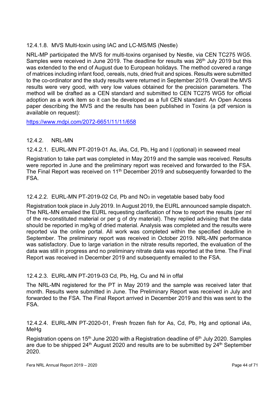#### 12.4.1.8. MVS Multi-toxin using IAC and LC-MS/MS (Nestle)

NRL-MP participated the MVS for multi-toxins organised by Nestle, via CEN TC275 WG5. Samples were received in June 2019. The deadline for results was 26<sup>th</sup> July 2019 but this was extended to the end of August due to European holidays. The method covered a range of matrices including infant food, cereals, nuts, dried fruit and spices. Results were submitted to the co-ordinator and the study results were returned in September 2019. Overall the MVS results were very good, with very low values obtained for the precision parameters. The method will be drafted as a CEN standard and submitted to CEN TC275 WG5 for official adoption as a work item so it can be developed as a full CEN standard. An Open Access paper describing the MVS and the results has been published in Toxins (a pdf version is available on request):

https://www.mdpi.com/2072-6651/11/11/658

#### 12.4.2. NRL-MN

12.4.2.1. EURL-MN PT-2019-01 As, iAs, Cd, Pb, Hg and I (optional) in seaweed meal

Registration to take part was completed in May 2019 and the sample was received. Results were reported in June and the preliminary report was received and forwarded to the FSA. The Final Report was received on 11<sup>th</sup> December 2019 and subsequently forwarded to the FSA.

#### 12.4.2.2. EURL-MN PT-2019-02 Cd, Pb and NO3 in vegetable based baby food

Registration took place in July 2019. In August 2019, the EURL announced sample dispatch. The NRL-MN emailed the EURL requesting clarification of how to report the results (per ml of the re-constituted material or per g of dry material). They replied advising that the data should be reported in mg/kg of dried material. Analysis was completed and the results were reported via the online portal. All work was completed within the specified deadline in September. The preliminary report was received in October 2019. NRL-MN performance was satisfactory. Due to large variation in the nitrate results reported, the evaluation of the data was still in progress and no preliminary nitrate data was reported at the time. The Final Report was received in December 2019 and subsequently emailed to the FSA.

#### 12.4.2.3. EURL-MN PT-2019-03 Cd, Pb, Hg, Cu and Ni in offal

The NRL-MN registered for the PT in May 2019 and the sample was received later that month. Results were submitted in June. The Preliminary Report was received in July and forwarded to the FSA. The Final Report arrived in December 2019 and this was sent to the FSA.

12.4.2.4. EURL-MN PT-2020-01, Fresh frozen fish for As, Cd, Pb, Hg and optional iAs, **MeHa** 

Registration opens on 15<sup>th</sup> June 2020 with a Registration deadline of  $6<sup>th</sup>$  July 2020. Samples are due to be shipped 24<sup>th</sup> August 2020 and results are to be submitted by 24<sup>th</sup> September 2020.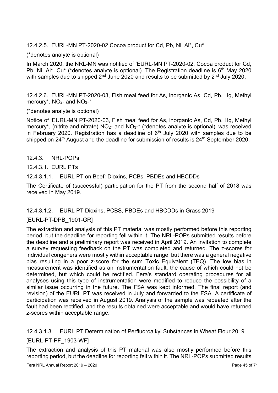12.4.2.5. EURL-MN PT-2020-02 Cocoa product for Cd, Pb, Ni, Al\*, Cu\*

(\*denotes analyte is optional)

In March 2020, the NRL-MN was notified of 'EURL-MN PT-2020-02, Cocoa product for Cd, Pb, Ni, Al<sup>\*</sup>, Cu<sup>\*</sup> (\*denotes analyte is optional). The Registration deadline is  $6<sup>th</sup>$  May 2020 with samples due to shipped  $2<sup>nd</sup>$  June 2020 and results to be submitted by  $2<sup>nd</sup>$  July 2020.

12.4.2.6. EURL-MN PT-2020-03, Fish meal feed for As, inorganic As, Cd, Pb, Hg, Methyl mercury\*, NO<sub>2</sub>- and NO<sub>3</sub>-\*

#### (\*denotes analyte is optional)

Notice of 'EURL-MN PT-2020-03, Fish meal feed for As, inorganic As, Cd, Pb, Hg, Methyl mercury\*, (nitrite and nitrate)  $NO<sub>2</sub>$ - and  $NO<sub>3</sub>$ <sup>-\*</sup> (\*denotes analyte is optional)' was received in February 2020. Registration has a deadline of  $6<sup>th</sup>$  July 2020 with samples due to be shipped on 24<sup>th</sup> August and the deadline for submission of results is 24<sup>th</sup> September 2020.

#### 12.4.3. NRL-POPs

#### 12.4.3.1. EURL PTs

12.4.3.1.1. EURL PT on Beef: Dioxins, PCBs, PBDEs and HBCDDs

The Certificate of (successful) participation for the PT from the second half of 2018 was received in May 2019.

#### 12.4.3.1.2. EURL PT Dioxins, PCBS, PBDEs and HBCDDs in Grass 2019

#### [EURL-PT-DPB\_1901-GR]

The extraction and analysis of this PT material was mostly performed before this reporting period, but the deadline for reporting fell within it. The NRL-POPs submitted results before the deadline and a preliminary report was received in April 2019. An invitation to complete a survey requesting feedback on the PT was completed and returned. The z-scores for individual congeners were mostly within acceptable range, but there was a general negative bias resulting in a poor z-score for the sum Toxic Equivalent (TEQ). The low bias in measurement was identified as an instrumentation fault, the cause of which could not be determined, but which could be rectified. Fera's standard operating procedures for all analyses using this type of instrumentation were modified to reduce the possibility of a similar issue occurring in the future. The FSA was kept informed. The final report (and revision) of the EURL PT was received in July and forwarded to the FSA. A certificate of participation was received in August 2019. Analysis of the sample was repeated after the fault had been rectified, and the results obtained were acceptable and would have returned z-scores within acceptable range.

### 12.4.3.1.3. EURL PT Determination of Perfluoroalkyl Substances in Wheat Flour 2019 [EURL-PT-PF\_1903-WF]

The extraction and analysis of this PT material was also mostly performed before this reporting period, but the deadline for reporting fell within it. The NRL-POPs submitted results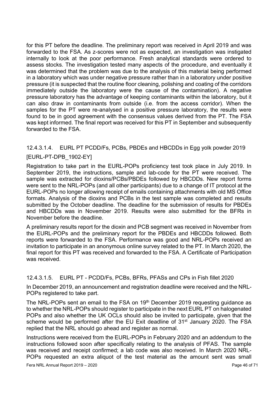for this PT before the deadline. The preliminary report was received in April 2019 and was forwarded to the FSA. As z-scores were not as expected, an investigation was instigated internally to look at the poor performance. Fresh analytical standards were ordered to assess stocks. The investigation tested many aspects of the procedure, and eventually it was determined that the problem was due to the analysis of this material being performed in a laboratory which was under negative pressure rather than in a laboratory under positive pressure (it is suspected that the routine floor cleaning, polishing and coating of the corridors immediately outside the laboratory were the cause of the contamination). A negative pressure laboratory has the advantage of keeping contaminants within the laboratory, but it can also draw in contaminants from outside (i.e. from the access corridor). When the samples for the PT were re-analysed in a positive pressure laboratory, the results were found to be in good agreement with the consensus values derived from the PT. The FSA was kept informed. The final report was received for this PT in September and subsequently forwarded to the FSA.

### 12.4.3.1.4. EURL PT PCDD/Fs, PCBs, PBDEs and HBCDDs in Egg yolk powder 2019 [EURL-PT-DPB\_1902-EY]

Registration to take part in the EURL-POPs proficiency test took place in July 2019. In September 2019, the instructions, sample and lab-code for the PT were received. The sample was extracted for dioxins/PCBs/PBDEs followed by HBCDDs. New report forms were sent to the NRL-POPs (and all other participants) due to a change of IT protocol at the EURL-POPs no longer allowing receipt of emails containing attachments with old MS Office formats. Analysis of the dioxins and PCBs in the test sample was completed and results submitted by the October deadline. The deadline for the submission of results for PBDEs and HBCDDs was in November 2019. Results were also submitted for the BFRs in November before the deadline.

A preliminary results report for the dioxin and PCB segment was received in November from the EURL-POPs and the preliminary report for the PBDEs and HBCDDs followed. Both reports were forwarded to the FSA. Performance was good and NRL-POPs received an invitation to participate in an anonymous online survey related to the PT. In March 2020, the final report for this PT was received and forwarded to the FSA. A Certificate of Participation was received.

#### 12.4.3.1.5. EURL PT - PCDD/Fs, PCBs, BFRs, PFASs and CPs in Fish fillet 2020

In December 2019, an announcement and registration deadline were received and the NRL-POPs registered to take part.

The NRL-POPs sent an email to the FSA on 19<sup>th</sup> December 2019 requesting guidance as to whether the NRL-POPs should register to participate in the next EURL PT on halogenated POPs and also whether the UK OCLs should also be invited to participate, given that the scheme would be performed after the EU Exit deadline of 31<sup>st</sup> January 2020. The FSA replied that the NRL should go ahead and register as normal.

Instructions were received from the EURL-POPs in February 2020 and an addendum to the instructions followed soon after specifically relating to the analysis of PFAS. The sample was received and receipt confirmed; a lab code was also received. In March 2020 NRL-POPs requested an extra aliquot of the test material as the amount sent was small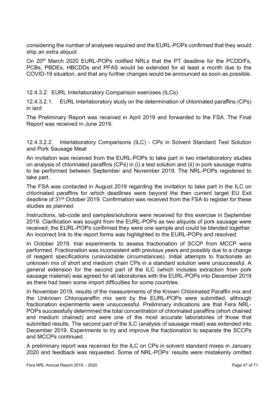considering the number of analyses required and the EURL-POPs confirmed that they would ship an extra aliquot.

On 20th March 2020 EURL-POPs notified NRLs that the PT deadline for the PCDD/Fs, PCBs, PBDEs, HBCDDs and PFAS would be extended for at least a month due to the COVID-19 situation, and that any further changes would be announced as soon as possible.

12.4.3.2. EURL Interlaboratory Comparison exercises (ILCs)

12.4.3.2.1. EURL Interlaboratory study on the determination of chlorinated paraffins (CPs) in lard

The Preliminary Report was received in April 2019 and forwarded to the FSA. The Final Report was received in June 2019.

12.4.3.2.2. Interlaboratory Comparisons (ILC) - CPs in Solvent Standard Test Solution and Pork Sausage Meat

An invitation was received from the EURL-POPs to take part in two interlaboratory studies on analysis of chlorinated paraffins (CPs) in (i) a test solution and (ii) in pork sausage matrix to be performed between September and November 2019. The NRL-POPs registered to take part.

The FSA was contacted in August 2019 regarding the invitation to take part in the ILC on chlorinated paraffins for which deadlines were beyond the then current target EU Exit deadline of 31st October 2019. Confirmation was received from the FSA to register for these studies as planned.

Instructions, lab-code and samples/solutions were received for this exercise in September 2019. Clarification was sought from the EURL-POPs as two aliquots of pork sausage were received; the EURL-POPs confirmed they were one sample and could be blended together. An incorrect link to the report forms was highlighted to the EURL-POPs and resolved.

In October 2019, trial experiments to assess fractionation of SCCP from MCCP were performed. Fractionation was inconsistent with previous years and possibly due to a change of reagent specifications (unavoidable circumstances). Initial attempts to fractionate an unknown mix of short and medium chain CPs in a standard solution were unsuccessful. A general extension for the second part of the ILC (which includes extraction from pork sausage material) was agreed for all laboratories with the EURL-POPs into December 2019 as there had been some import difficulties for some countries.

In November 2019, results of the measurements of the Known Chlorinated Paraffin mix and the Unknown Chloroparaffin mix sent by the EURL-POPs were submitted, although fractionation experiments were unsuccessful. Preliminary indications are that Fera NRL-POPs successfully determined the total concentration of chlorinated paraffins (short chained and medium chained) and were one of the most accurate laboratories of those that submitted results. The second part of the ILC (analysis of sausage meat) was extended into December 2019. Experiments to try and improve the fractionation to separate the SCCPs and MCCPs continued.

A preliminary report was received for the ILC on CPs in solvent standard mixes in January 2020 and feedback was requested. Some of NRL-POPs' results were mistakenly omitted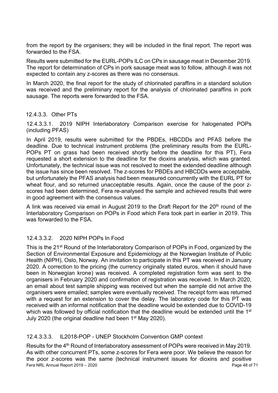from the report by the organisers; they will be included in the final report. The report was forwarded to the FSA.

Results were submitted for the EURL-POPs ILC on CPs in sausage meat in December 2019. The report for determination of CPs in pork sausage meat was to follow, although it was not expected to contain any z-scores as there was no consensus.

In March 2020, the final report for the study of chlorinated paraffins in a standard solution was received and the preliminary report for the analysis of chlorinated paraffins in pork sausage. The reports were forwarded to the FSA.

#### 12.4.3.3. Other PTs

12.4.3.3.1. 2019 NIPH Interlaboratory Comparison exercise for halogenated POPs (including PFAS)

In April 2019, results were submitted for the PBDEs, HBCDDs and PFAS before the deadline. Due to technical instrument problems (the preliminary results from the EURL-POPs PT on grass had been received shortly before the deadline for this PT), Fera requested a short extension to the deadline for the dioxins analysis, which was granted. Unfortunately, the technical issue was not resolved to meet the extended deadline although the issue has since been resolved. The z-scores for PBDEs and HBCDDs were acceptable, but unfortunately the PFAS analysis had been measured concurrently with the EURL PT for wheat flour, and so returned unacceptable results. Again, once the cause of the poor zscores had been determined, Fera re-analysed the sample and achieved results that were in good agreement with the consensus values.

A link was received via email in August 2019 to the Draft Report for the  $20<sup>th</sup>$  round of the Interlaboratory Comparison on POPs in Food which Fera took part in earlier in 2019. This was forwarded to the FSA.

#### 12.4.3.3.2. 2020 NIPH POPs In Food

This is the 21<sup>st</sup> Round of the Interlaboratory Comparison of POPs in Food, organized by the Section of Environmental Exposure and Epidemiology at the Norwegian Institute of Public Health (NIPH), Oslo, Norway. An invitation to participate in this PT was received in January 2020. A correction to the pricing (the currency originally stated euros, when it should have been in Norwegian krone) was received. A completed registration form was sent to the organisers in February 2020 and confirmation of registration was received. In March 2020, an email about test sample shipping was received but when the sample did not arrive the organisers were emailed; samples were eventually received. The receipt form was returned with a request for an extension to cover the delay. The laboratory code for this PT was received with an informal notification that the deadline would be extended due to COVID-19 which was followed by official notification that the deadline would be extended until the 1<sup>st</sup> July 2020 (the original deadline had been 1<sup>st</sup> May 2020).

#### 12.4.3.3.3. IL2018-POP - UNEP Stockholm Convention GMP context

Fera NRL Annual Report 2019 – 2020 Page 48 of 71 Results for the 4<sup>th</sup> Round of Interlaboratory assessment of POPs were received in May 2019. As with other concurrent PTs, some z-scores for Fera were poor. We believe the reason for the poor z-scores was the same (technical instrument issues for dioxins and positive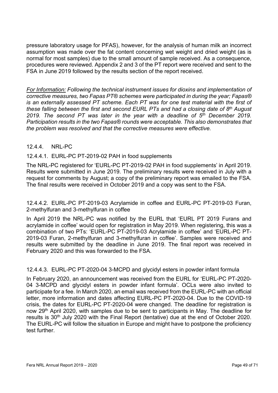pressure laboratory usage for PFAS), however, for the analysis of human milk an incorrect assumption was made over the fat content concerning wet weight and dried weight (as is normal for most samples) due to the small amount of sample received. As a consequence, procedures were reviewed. Appendix 2 and 3 of the PT report were received and sent to the FSA in June 2019 followed by the results section of the report received.

For Information: Following the technical instrument issues for dioxins and implementation of corrective measures, two Fapas PT® schemes were participated in during the year; Fapas® is an externally assessed PT scheme. Each PT was for one test material with the first of these falling between the first and second EURL PTs and had a closing date of 8<sup>th</sup> August 2019. The second PT was later in the year with a deadline of  $5<sup>th</sup>$  December 2019. Participation results in the two Fapas® rounds were acceptable. This also demonstrates that the problem was resolved and that the corrective measures were effective.

#### 12.4.4. NRL-PC

#### 12.4.4.1. EURL-PC PT-2019-02 PAH in food supplements

The NRL-PC registered for 'EURL-PC PT-2019-02 PAH in food supplements' in April 2019. Results were submitted in June 2019. The preliminary results were received in July with a request for comments by August; a copy of the preliminary report was emailed to the FSA. The final results were received in October 2019 and a copy was sent to the FSA.

12.4.4.2. EURL-PC PT-2019-03 Acrylamide in coffee and EURL-PC PT-2019-03 Furan, 2-methylfuran and 3-methylfuran in coffee

In April 2019 the NRL-PC was notified by the EURL that 'EURL PT 2019 Furans and acrylamide in coffee' would open for registration in May 2019. When registering, this was a combination of two PTs: 'EURL-PC PT-2019-03 Acrylamide in coffee' and 'EURL-PC PT-2019-03 Furan, 2-methylfuran and 3-methylfuran in coffee'. Samples were received and results were submitted by the deadline in June 2019. The final report was received in February 2020 and this was forwarded to the FSA.

#### 12.4.4.3. EURL-PC PT-2020-04 3-MCPD and glycidyl esters in powder infant formula

In February 2020, an announcement was received from the EURL for 'EURL-PC PT-2020- 04 3-MCPD and glycidyl esters in powder infant formula'. OCLs were also invited to participate for a fee. In March 2020, an email was received from the EURL-PC with an official letter, more information and dates affecting EURL-PC PT-2020-04. Due to the COVID-19 crisis, the dates for EURL-PC PT-2020-04 were changed. The deadline for registration is now 29th April 2020, with samples due to be sent to participants in May. The deadline for results is 30<sup>th</sup> July 2020 with the Final Report (tentative) due at the end of October 2020. The EURL-PC will follow the situation in Europe and might have to postpone the proficiency test further.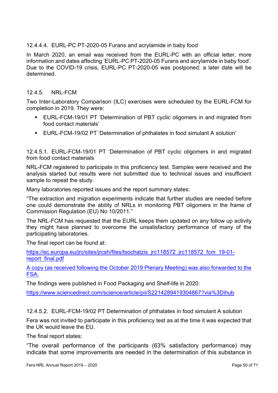#### 12.4.4.4. EURL-PC PT-2020-05 Furans and acrylamide in baby food

In March 2020, an email was received from the EURL-PC with an official letter, more information and dates affecting 'EURL-PC PT-2020-05 Furans and acrylamide in baby food'. Due to the COVID-19 crisis, EURL-PC PT-2020-05 was postponed; a later date will be determined.

#### 12.4.5. NRL-FCM

Two Inter-Laboratory Comparison (ILC) exercises were scheduled by the EURL-FCM for completion in 2019. They were:

- EURL-FCM-19/01 PT 'Determination of PBT cyclic oligomers in and migrated from food contact materials'
- EURL-FCM-19/02 PT 'Determination of phthalates in food simulant A solution'

12.4.5.1. EURL-FCM-19/01 PT 'Determination of PBT cyclic oligomers in and migrated from food contact materials

NRL-FCM registered to participate in this proficiency test. Samples were received and the analysis started but results were not submitted due to technical issues and insufficient sample to repeat the study.

Many laboratories reported issues and the report summary states:

"The extraction and migration experiments indicate that further studies are needed before one could demonstrate the ability of NRLs in monitoring PBT oligomers in the frame of Commission Regulation (EU) No 10/2011."

The NRL-FCM has requested that the EURL keeps them updated on any follow up activity they might have planned to overcome the unsatisfactory performance of many of the participating laboratories.

The final report can be found at:

https://ec.europa.eu/jrc/sites/jrcsh/files/tsochatzis\_jrc118572\_jrc118572\_fcm\_19-01report\_final.pdf

A copy (as received following the October 2019 Plenary Meeting) was also forwarded to the FSA.

The findings were published in Food Packaging and Shelf-life in 2020:

https://www.sciencedirect.com/science/article/pii/S2214289419304867?via%3Dihub

12.4.5.2. EURL-FCM-19/02 PT Determination of phthalates in food simulant A solution

Fera was not invited to participate in this proficiency test as at the time it was expected that the UK would leave the EU.

The final report states:

"The overall performance of the participants (63% satisfactory performance) may indicate that some improvements are needed in the determination of this substance in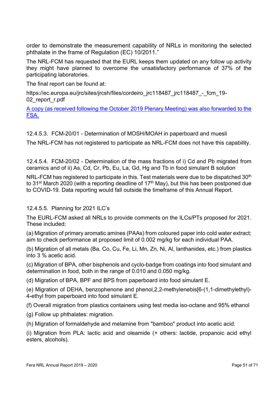order to demonstrate the measurement capability of NRLs in monitoring the selected phthalate in the frame of Regulation (EC) 10/2011."

The NRL-FCM has requested that the EURL keeps them updated on any follow up activity they might have planned to overcome the unsatisfactory performance of 37% of the participating laboratories.

The final report can be found at:

https://ec.europa.eu/jrc/sites/jrcsh/files/cordeiro\_jrc118487\_jrc118487\_-\_fcm\_19-02 report r.pdf

A copy (as received following the October 2019 Plenary Meeting) was also forwarded to the FSA.

12.4.5.3. FCM-20/01 - Determination of MOSH/MOAH in paperboard and muesli

The NRL-FCM has not registered to participate as NRL-FCM does not have this capability.

12.4.5.4. FCM-20/02 - Determination of the mass fractions of i) Cd and Pb migrated from ceramics and of ii) As, Cd, Cr, Pb, Eu, La, Gd, Hg and Tb in food simulant B solution

NRL-FCM has registered to participate in this. Test materials were due to be dispatched 30<sup>th</sup> to 31<sup>st</sup> March 2020 (with a reporting deadline of  $17<sup>th</sup>$  May), but this has been postponed due to COVID-19. Data reporting would fall outside the timeframe of this Annual Report.

#### 12.4.5.5. Planning for 2021 ILC's

The EURL-FCM asked all NRLs to provide comments on the ILCs/PTs proposed for 2021. These included:

(a) Migration of primary aromatic amines (PAAs) from coloured paper into cold water extract; aim to check performance at proposed limit of 0.002 mg/kg for each individual PAA.

(b) Migration of all metals (Ba, Co, Cu, Fe, Li, Mn, Zn, Ni, Al, lanthanides, etc.) from plastics into 3 % acetic acid.

(c) Migration of BPA, other bisphenols and cyclo-badge from coatings into food simulant and determination in food, both in the range of 0.010 and 0.050 mg/kg.

(d) Migration of BPA, BPF and BPS from paperboard into food simulant E.

(e) Migration of DEHA, benzophenone and phenol,2,2-methylenebis[6-(1,1-dimethylethyl)- 4-ethyl from paperboard into food simulant E.

(f) Overall migration from plastics containers using test media iso-octane and 95% ethanol

(g) Follow up phthalates: migration.

(h) Migration of formaldehyde and melamine from "bamboo" product into acetic acid.

(i) Migration from PLA: lactic acid and oleamide (+ others: lactide, propanoic acid ethyl esters, alcohols).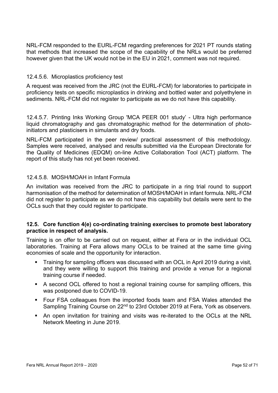NRL-FCM responded to the EURL-FCM regarding preferences for 2021 PT rounds stating that methods that increased the scope of the capability of the NRLs would be preferred however given that the UK would not be in the EU in 2021, comment was not required.

#### 12.4.5.6. Microplastics proficiency test

A request was received from the JRC (not the EURL-FCM) for laboratories to participate in proficiency tests on specific microplastics in drinking and bottled water and polyethylene in sediments. NRL-FCM did not register to participate as we do not have this capability.

12.4.5.7. Printing Inks Working Group 'MCA PEER 001 study' - Ultra high performance liquid chromatography and gas chromatographic method for the determination of photoinitiators and plasticisers in simulants and dry foods.

NRL-FCM participated in the peer review/ practical assessment of this methodology. Samples were received, analysed and results submitted via the European Directorate for the Quality of Medicines (EDQM) on-line Active Collaboration Tool (ACT) platform. The report of this study has not yet been received.

#### 12.4.5.8. MOSH/MOAH in Infant Formula

An invitation was received from the JRC to participate in a ring trial round to support harmonisation of the method for determination of MOSH/MOAH in infant formula. NRL-FCM did not register to participate as we do not have this capability but details were sent to the OCLs such that they could register to participate.

#### 12.5. Core function 4(e) co-ordinating training exercises to promote best laboratory practice in respect of analysis.

Training is on offer to be carried out on request, either at Fera or in the individual OCL laboratories. Training at Fera allows many OCLs to be trained at the same time giving economies of scale and the opportunity for interaction.

- Training for sampling officers was discussed with an OCL in April 2019 during a visit, and they were willing to support this training and provide a venue for a regional training course if needed.
- A second OCL offered to host a regional training course for sampling officers, this was postponed due to COVID-19.
- Four FSA colleagues from the imported foods team and FSA Wales attended the Sampling Training Course on 22<sup>nd</sup> to 23rd October 2019 at Fera, York as observers.
- An open invitation for training and visits was re-iterated to the OCLs at the NRL Network Meeting in June 2019.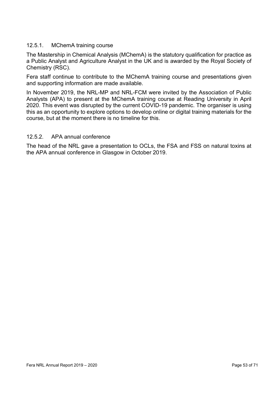#### 12.5.1. MChemA training course

The Mastership in Chemical Analysis (MChemA) is the statutory qualification for practice as a Public Analyst and Agriculture Analyst in the UK and is awarded by the Royal Society of Chemistry (RSC).

Fera staff continue to contribute to the MChemA training course and presentations given and supporting information are made available.

In November 2019, the NRL-MP and NRL-FCM were invited by the Association of Public Analysts (APA) to present at the MChemA training course at Reading University in April 2020. This event was disrupted by the current COVID-19 pandemic. The organiser is using this as an opportunity to explore options to develop online or digital training materials for the course, but at the moment there is no timeline for this.

#### 12.5.2. APA annual conference

The head of the NRL gave a presentation to OCLs, the FSA and FSS on natural toxins at the APA annual conference in Glasgow in October 2019.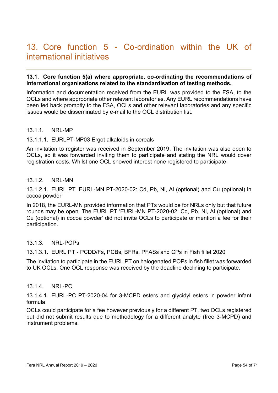### 13. Core function 5 - Co-ordination within the UK of international initiatives

#### 13.1. Core function 5(a) where appropriate, co-ordinating the recommendations of international organisations related to the standardisation of testing methods.

Information and documentation received from the EURL was provided to the FSA, to the OCLs and where appropriate other relevant laboratories. Any EURL recommendations have been fed back promptly to the FSA, OCLs and other relevant laboratories and any specific issues would be disseminated by e-mail to the OCL distribution list.

#### 13.1.1. NRL-MP

#### 13.1.1.1. EURLPT-MP03 Ergot alkaloids in cereals

An invitation to register was received in September 2019. The invitation was also open to OCLs, so it was forwarded inviting them to participate and stating the NRL would cover registration costs. Whilst one OCL showed interest none registered to participate.

#### 13.1.2 NRI-MN

13.1.2.1. EURL PT 'EURL-MN PT-2020-02: Cd, Pb, Ni, Al (optional) and Cu (optional) in cocoa powder

In 2018, the EURL-MN provided information that PTs would be for NRLs only but that future rounds may be open. The EURL PT 'EURL-MN PT-2020-02: Cd, Pb, Ni, Al (optional) and Cu (optional) in cocoa powder' did not invite OCLs to participate or mention a fee for their participation.

#### 13.1.3. NRL-POPs

13.1.3.1. EURL PT - PCDD/Fs, PCBs, BFRs, PFASs and CPs in Fish fillet 2020

The invitation to participate in the EURL PT on halogenated POPs in fish fillet was forwarded to UK OCLs. One OCL response was received by the deadline declining to participate.

#### 13.1.4. NRL-PC

13.1.4.1. EURL-PC PT-2020-04 for 3-MCPD esters and glycidyl esters in powder infant formula

OCLs could participate for a fee however previously for a different PT, two OCLs registered but did not submit results due to methodology for a different analyte (free 3-MCPD) and instrument problems.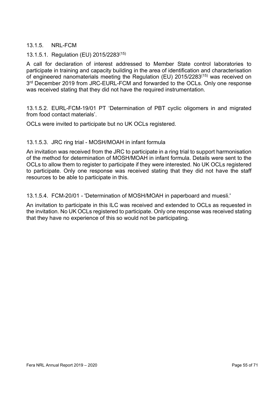#### 13.1.5. NRL-FCM

#### 13.1.5.1. Regulation (EU) 2015/2283(15)

A call for declaration of interest addressed to Member State control laboratories to participate in training and capacity building in the area of identification and characterisation of engineered nanomaterials meeting the Regulation (EU) 2015/2283(15) was received on 3<sup>rd</sup> December 2019 from JRC-EURL-FCM and forwarded to the OCLs. Only one response was received stating that they did not have the required instrumentation.

13.1.5.2. EURL-FCM-19/01 PT 'Determination of PBT cyclic oligomers in and migrated from food contact materials'.

OCLs were invited to participate but no UK OCLs registered.

#### 13.1.5.3. JRC ring trial - MOSH/MOAH in infant formula

An invitation was received from the JRC to participate in a ring trial to support harmonisation of the method for determination of MOSH/MOAH in infant formula. Details were sent to the OCLs to allow them to register to participate if they were interested. No UK OCLs registered to participate. Only one response was received stating that they did not have the staff resources to be able to participate in this.

13.1.5.4. FCM-20/01 - 'Determination of MOSH/MOAH in paperboard and muesli.'

An invitation to participate in this ILC was received and extended to OCLs as requested in the invitation. No UK OCLs registered to participate. Only one response was received stating that they have no experience of this so would not be participating.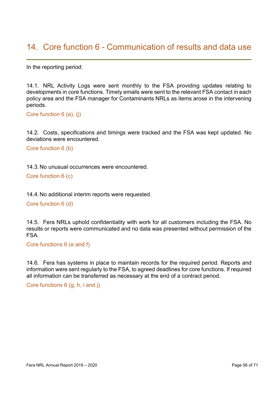### 14. Core function 6 - Communication of results and data use

In the reporting period:

14.1. NRL Activity Logs were sent monthly to the FSA providing updates relating to developments in core functions. Timely emails were sent to the relevant FSA contact in each policy area and the FSA manager for Contaminants NRLs as items arose in the intervening periods.

Core function 6 (a), (j)

14.2. Costs, specifications and timings were tracked and the FSA was kept updated. No deviations were encountered.

Core function 6 (b)

14.3. No unusual occurrences were encountered.

Core function 6 (c)

14.4. No additional interim reports were requested.

Core function 6 (d)

14.5. Fera NRLs uphold confidentiality with work for all customers including the FSA. No results or reports were communicated and no data was presented without permission of the FSA.

Core functions 6 (e and f)

14.6. Fera has systems in place to maintain records for the required period. Reports and information were sent regularly to the FSA, to agreed deadlines for core functions. If required all information can be transferred as necessary at the end of a contract period.

Core functions 6 (g, h, i and j)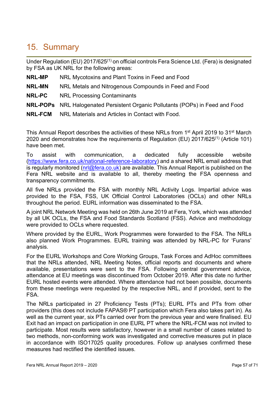## 15. Summary

Under Regulation (EU)  $2017/625^{(1)}$  on official controls Fera Science Ltd. (Fera) is designated by FSA as UK NRL for the following areas:

- NRL-MP NRL Mycotoxins and Plant Toxins in Feed and Food
- NRL-MN NRL Metals and Nitrogenous Compounds in Feed and Food
- NRL-PC NRL Processing Contaminants
- NRL-POPs NRL Halogenated Persistent Organic Pollutants (POPs) in Feed and Food
- NRL-FCM NRL Materials and Articles in Contact with Food.

This Annual Report describes the activities of these NRLs from 1<sup>st</sup> April 2019 to 31<sup>st</sup> March 2020 and demonstrates how the requirements of Regulation (EU) 2017/625(1) (Article 101) have been met.

To assist with communication, a dedicated fully accessible website (https://www.fera.co.uk/national-reference-laboratory) and a shared NRL email address that is regularly monitored (nrl@fera.co.uk) are available. This Annual Report is published on the Fera NRL website and is available to all, thereby meeting the FSA openness and transparency commitments.

All five NRLs provided the FSA with monthly NRL Activity Logs. Impartial advice was provided to the FSA, FSS, UK Official Control Laboratories (OCLs) and other NRLs throughout the period. EURL information was disseminated to the FSA.

A joint NRL Network Meeting was held on 26th June 2019 at Fera, York, which was attended by all UK OCLs, the FSA and Food Standards Scotland (FSS). Advice and methodology were provided to OCLs where requested.

Where provided by the EURL, Work Programmes were forwarded to the FSA. The NRLs also planned Work Programmes. EURL training was attended by NRL-PC for 'Furans' analysis.

For the EURL Workshops and Core Working Groups, Task Forces and AdHoc committees that the NRLs attended, NRL Meeting Notes, official reports and documents and where available, presentations were sent to the FSA. Following central government advice, attendance at EU meetings was discontinued from October 2019. After this date no further EURL hosted events were attended. Where attendance had not been possible, documents from these meetings were requested by the respective NRL, and if provided, sent to the FSA.

The NRLs participated in 27 Proficiency Tests (PTs); EURL PTs and PTs from other providers (this does not include FAPAS® PT participation which Fera also takes part in). As well as the current year, six PTs carried over from the previous year and were finalised. EU Exit had an impact on participation in one EURL PT where the NRL-FCM was not invited to participate. Most results were satisfactory, however in a small number of cases related to two methods, non-conforming work was investigated and corrective measures put in place in accordance with ISO17025 quality procedures. Follow up analyses confirmed these measures had rectified the identified issues.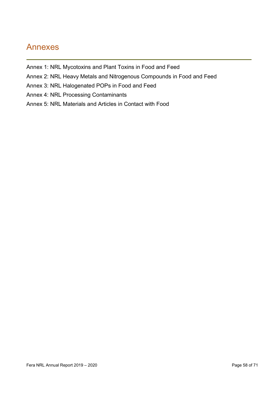### Annexes

- Annex 1: NRL Mycotoxins and Plant Toxins in Food and Feed
- Annex 2: NRL Heavy Metals and Nitrogenous Compounds in Food and Feed
- Annex 3: NRL Halogenated POPs in Food and Feed
- Annex 4: NRL Processing Contaminants
- Annex 5: NRL Materials and Articles in Contact with Food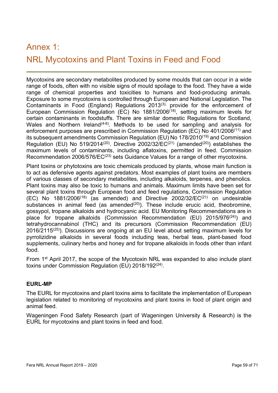# Annex 1: NRL Mycotoxins and Plant Toxins in Feed and Food

Mycotoxins are secondary metabolites produced by some moulds that can occur in a wide range of foods, often with no visible signs of mould spoilage to the food. They have a wide range of chemical properties and toxicities to humans and food-producing animals. Exposure to some mycotoxins is controlled through European and National Legislation. The Contaminants in Food (England) Regulations 2013(3), provide for the enforcement of European Commission Regulation (EC) No 1881/2006(18), setting maximum levels for certain contaminants in foodstuffs. There are similar domestic Regulations for Scotland, Wales and Northern Ireland<sup>(4-6)</sup>. Methods to be used for sampling and analysis for enforcement purposes are prescribed in Commission Regulation (EC) No 401/2006(11) and its subsequent amendments Commission Regulation (EU) No 178/2010(19) and Commission Regulation (EU) No 519/2014<sup>(20)</sup>. Directive 2002/32/EC<sup>(21)</sup> (amended<sup>(20)</sup>) establishes the maximum levels of contaminants, including aflatoxins, permitted in feed. Commission Recommendation 2006/576/EC<sup>(23)</sup> sets Guidance Values for a range of other mycotoxins.

Plant toxins or phytotoxins are toxic chemicals produced by plants, whose main function is to act as defensive agents against predators. Most examples of plant toxins are members of various classes of secondary metabolites, including alkaloids, terpenes, and phenolics. Plant toxins may also be toxic to humans and animals. Maximum limits have been set for several plant toxins through European food and feed regulations, Commission Regulation (EC) No  $1881/2006^{(18)}$  (as amended) and Directive 2002/32/EC<sup>(21)</sup> on undesirable substances in animal feed (as amended $(20)$ ). These include erucic acid, theobromine, gossypol, tropane alkaloids and hydrocyanic acid. EU Monitoring Recommendations are in place for tropane alkaloids (Commission Recommendation (EU) 2015/976(24)) and tetrahydrocannabinol (THC) and its precursors (Commission Recommendation (EU)  $2016/2115^{(25)}$ ). Discussions are ongoing at an EU level about setting maximum levels for pyrrolizidine alkaloids in several foods including teas, herbal teas, plant-based food supplements, culinary herbs and honey and for tropane alkaloids in foods other than infant food.

From 1<sup>st</sup> April 2017, the scope of the Mycotoxin NRL was expanded to also include plant toxins under Commission Regulation (EU) 2018/192<sup>(24)</sup>.

#### EURL-MP

The EURL for mycotoxins and plant toxins aims to facilitate the implementation of European legislation related to monitoring of mycotoxins and plant toxins in food of plant origin and animal feed.

Wageningen Food Safety Research (part of Wageningen University & Research) is the EURL for mycotoxins and plant toxins in feed and food.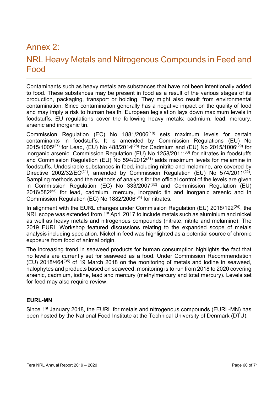### Annex 2:

### NRL Heavy Metals and Nitrogenous Compounds in Feed and Food

Contaminants such as heavy metals are substances that have not been intentionally added to food. These substances may be present in food as a result of the various stages of its production, packaging, transport or holding. They might also result from environmental contamination. Since contamination generally has a negative impact on the quality of food and may imply a risk to human health, European legislation lays down maximum levels in foodstuffs. EU regulations cover the following heavy metals: cadmium, lead, mercury, arsenic and inorganic tin.

Commission Regulation (EC) No 1881/2006(18) sets maximum levels for certain contaminants in foodstuffs. It is amended by Commission Regulations (EU) No 2015/1005<sup>(27)</sup> for Lead, (EU) No 488/2014<sup>(28)</sup> for Cadmium and (EU) No 2015/1006<sup>(29)</sup> for inorganic arsenic. Commission Regulation (EU) No  $1258/2011^{(30)}$  for nitrates in foodstuffs and Commission Regulation (EU) No  $594/2012^{(31)}$  adds maximum levels for melamine in foodstuffs. Undesirable substances in feed, including nitrite and melamine, are covered by Directive 2002/32/EC<sup>(21)</sup>, amended by Commission Regulation (EU) No 574/2011<sup>(22)</sup>. Sampling methods and the methods of analysis for the official control of the levels are given in Commission Regulation (EC) No  $333/2007^{(32)}$  and Commission Regulation (EU)  $2016/582<sup>(33)</sup>$  for lead, cadmium, mercury, inorganic tin and inorganic arsenic and in Commission Regulation (EC) No 1882/2006(34) for nitrates.

In alignment with the EURL changes under Commission Regulation (EU)  $2018/192<sup>(24)</sup>$ , the NRL scope was extended from 1<sup>st</sup> April 2017 to include metals such as aluminium and nickel as well as heavy metals and nitrogenous compounds (nitrate, nitrite and melamine). The 2019 EURL Workshop featured discussions relating to the expanded scope of metals analysis including speciation. Nickel in feed was highlighted as a potential source of chronic exposure from food of animal origin.

The increasing trend in seaweed products for human consumption highlights the fact that no levels are currently set for seaweed as a food. Under Commission Recommendation (EU) 2018/464(35) of 19 March 2018 on the monitoring of metals and iodine in seaweed, halophytes and products based on seaweed, monitoring is to run from 2018 to 2020 covering arsenic, cadmium, iodine, lead and mercury (methylmercury and total mercury). Levels set for feed may also require review.

#### EURL-MN

Since 1<sup>st</sup> January 2018, the EURL for metals and nitrogenous compounds (EURL-MN) has been hosted by the National Food Institute at the Technical University of Denmark (DTU).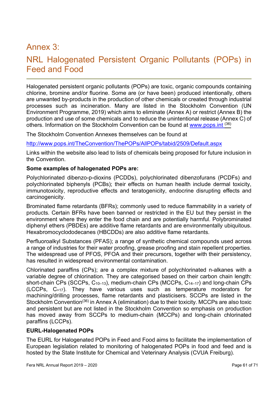### Annex 3:

### NRL Halogenated Persistent Organic Pollutants (POPs) in Feed and Food

Halogenated persistent organic pollutants (POPs) are toxic, organic compounds containing chlorine, bromine and/or fluorine. Some are (or have been) produced intentionally, others are unwanted by-products in the production of other chemicals or created through industrial processes such as incineration. Many are listed in the Stockholm Convention (UN Environment Programme, 2019) which aims to eliminate (Annex A) or restrict (Annex B) the production and use of some chemicals and to reduce the unintentional release (Annex C) of others. Information on the Stockholm Convention can be found at www.pops.int (36)

The Stockholm Convention Annexes themselves can be found at

http://www.pops.int/TheConvention/ThePOPs/AllPOPs/tabid/2509/Default.aspx

Links within the website also lead to lists of chemicals being proposed for future inclusion in the Convention.

#### Some examples of halogenated POPs are:

Polychlorinated dibenzo-p-dioxins (PCDDs), polychlorinated dibenzofurans (PCDFs) and polychlorinated biphenyls (PCBs); their effects on human health include dermal toxicity, immunotoxicity, reproductive effects and teratogenicity, endocrine disrupting effects and carcinogenicity.

Brominated flame retardants (BFRs); commonly used to reduce flammability in a variety of products. Certain BFRs have been banned or restricted in the EU but they persist in the environment where they enter the food chain and are potentially harmful. Polybrominated diphenyl ethers (PBDEs) are additive flame retardants and are environmentally ubiquitous. Hexabromocyclododecanes (HBCDDs) are also additive flame retardants.

Perfluoroalkyl Substances (PFAS); a range of synthetic chemical compounds used across a range of industries for their water proofing, grease proofing and stain repellent properties. The widespread use of PFOS, PFOA and their precursors, together with their persistency, has resulted in widespread environmental contamination.

Chlorinated paraffins (CPs); are a complex mixture of polychlorinated n-alkanes with a variable degree of chlorination. They are categorised based on their carbon chain length: short-chain CPs (SCCPs, C10–13), medium-chain CPs (MCCPs, C14–17) and long-chain CPs (LCCPs, C>17). They have various uses such as temperature moderators for machining/drilling processes, flame retardants and plasticisers. SCCPs are listed in the Stockholm Convention<sup>(36)</sup> in Annex A (elimination) due to their toxicity. MCCPs are also toxic and persistent but are not listed in the Stockholm Convention so emphasis on production has moved away from SCCPs to medium-chain (MCCPs) and long-chain chlorinated paraffins (LCCPs).

#### EURL-Halogenated POPs

The EURL for Halogenated POPs in Feed and Food aims to facilitate the implementation of European legislation related to monitoring of halogenated POPs in food and feed and is hosted by the State Institute for Chemical and Veterinary Analysis (CVUA Freiburg).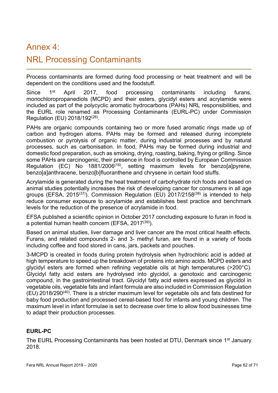### Annex 4:

### NRL Processing Contaminants

Process contaminants are formed during food processing or heat treatment and will be dependent on the conditions used and the foodstuff.

Since 1<sup>st</sup> April 2017, food processing contaminants including furans, monochloropropanediols (MCPD) and their esters, glycidyl esters and acrylamide were included as part of the polycyclic aromatic hydrocarbons (PAHs) NRL responsibilities, and the EURL role renamed as Processing Contaminants (EURL-PC) under Commission Regulation (EU) 2018/192<sup>(26)</sup>.

PAHs are organic compounds containing two or more fused aromatic rings made up of carbon and hydrogen atoms. PAHs may be formed and released during incomplete combustion or pyrolysis of organic matter, during industrial processes and by natural processes, such as carbonisation. In food, PAHs may be formed during industrial and domestic food preparation, such as smoking, drying, roasting, baking, frying or grilling. Since some PAHs are carcinogenic, their presence in food is controlled by European Commission Regulation (EC) No 1881/2006<sup>(16)</sup>, setting maximum levels for benzolalpyrene, benzo[a]anthracene, benzo[b]fluoranthene and chrysene in certain food stuffs.

Acrylamide is generated during the heat treatment of carbohydrate rich foods and based on animal studies potentially increases the risk of developing cancer for consumers in all age groups (EFSA, 2015<sup>(37)</sup>). Commission Regulation (EU) 2017/2158<sup>(38)</sup> is intended to help reduce consumer exposure to acrylamide and establishes best practice and benchmark levels for the reduction of the presence of acrylamide in food.

EFSA published a scientific opinion in October 2017 concluding exposure to furan in food is a potential human health concern (EFSA, 2017(39)).

Based on animal studies, liver damage and liver cancer are the most critical health effects. Furans, and related compounds 2- and 3- methyl furan, are found in a variety of foods including coffee and food stored in cans, jars, packets and pouches.

3-MCPD is created in foods during protein hydrolysis when hydrochloric acid is added at high temperature to speed up the breakdown of proteins into amino acids. MCPD esters and glycidyl esters are formed when refining vegetable oils at high temperatures (>200°C). Glycidyl fatty acid esters are hydrolysed into glycidol, a genotoxic and carcinogenic compound, in the gastrointestinal tract. Glycidyl fatty acid esters expressed as glycidol in vegetable oils, vegetable fats and infant formula are also included in Commission Regulation (EU) 2018/290(40). There is a stricter maximum level for vegetable oils and fats destined for baby food production and processed cereal-based food for infants and young children. The maximum level in infant formulae is set to decrease over time to allow food businesses time to adapt their production processes.

#### EURL-PC

The EURL Processing Contaminants has been hosted at DTU, Denmark since 1<sup>st</sup> January 2018.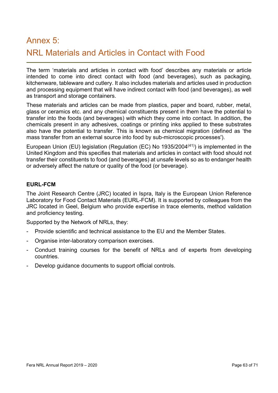# Annex 5: NRL Materials and Articles in Contact with Food

The term 'materials and articles in contact with food' describes any materials or article intended to come into direct contact with food (and beverages), such as packaging, kitchenware, tableware and cutlery. It also includes materials and articles used in production and processing equipment that will have indirect contact with food (and beverages), as well as transport and storage containers.

These materials and articles can be made from plastics, paper and board, rubber, metal, glass or ceramics etc. and any chemical constituents present in them have the potential to transfer into the foods (and beverages) with which they come into contact. In addition, the chemicals present in any adhesives, coatings or printing inks applied to these substrates also have the potential to transfer. This is known as chemical migration (defined as 'the mass transfer from an external source into food by sub-microscopic processes').

European Union (EU) legislation (Regulation (EC) No 1935/2004(41)) is implemented in the United Kingdom and this specifies that materials and articles in contact with food should not transfer their constituents to food (and beverages) at unsafe levels so as to endanger health or adversely affect the nature or quality of the food (or beverage).

#### EURL-FCM

The Joint Research Centre (JRC) located in Ispra, Italy is the European Union Reference Laboratory for Food Contact Materials (EURL-FCM). It is supported by colleagues from the JRC located in Geel, Belgium who provide expertise in trace elements, method validation and proficiency testing.

Supported by the Network of NRLs, they:

- Provide scientific and technical assistance to the EU and the Member States.
- Organise inter-laboratory comparison exercises.
- Conduct training courses for the benefit of NRLs and of experts from developing countries.
- Develop guidance documents to support official controls.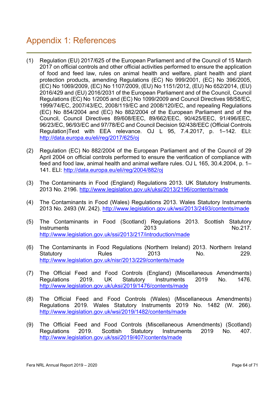### Appendix 1: References

- (1) Regulation (EU) 2017/625 of the European Parliament and of the Council of 15 March 2017 on official controls and other official activities performed to ensure the application of food and feed law, rules on animal health and welfare, plant health and plant protection products, amending Regulations (EC) No 999/2001, (EC) No 396/2005, (EC) No 1069/2009, (EC) No 1107/2009, (EU) No 1151/2012, (EU) No 652/2014, (EU) 2016/429 and (EU) 2016/2031 of the European Parliament and of the Council, Council Regulations (EC) No 1/2005 and (EC) No 1099/2009 and Council Directives 98/58/EC, 1999/74/EC, 2007/43/EC, 2008/119/EC and 2008/120/EC, and repealing Regulations (EC) No 854/2004 and (EC) No 882/2004 of the European Parliament and of the Council, Council Directives 89/608/EEC, 89/662/EEC, 90/425/EEC, 91/496/EEC, 96/23/EC, 96/93/EC and 97/78/EC and Council Decision 92/438/EEC (Official Controls Regulation)Text with EEA relevance. OJ L 95, 7.4.2017, p. 1–142. ELI: http://data.europa.eu/eli/reg/2017/625/oj
- (2) Regulation (EC) No 882/2004 of the European Parliament and of the Council of 29 April 2004 on official controls performed to ensure the verification of compliance with feed and food law, animal health and animal welfare rules. OJ L 165, 30.4.2004, p. 1– 141. ELI: http://data.europa.eu/eli/reg/2004/882/oj
- (3) The Contaminants in Food (England) Regulations 2013. UK Statutory Instruments. 2013 No. 2196. http://www.legislation.gov.uk/uksi/2013/2196/contents/made
- (4) The Contaminants in Food (Wales) Regulations 2013. Wales Statutory Instruments 2013 No. 2493 (W. 242). http://www.legislation.gov.uk/wsi/2013/2493/contents/made
- (5) The Contaminants in Food (Scotland) Regulations 2013. Scottish Statutory Instruments 2013 No. 217 http://www.legislation.gov.uk/ssi/2013/217/introduction/made
- (6) The Contaminants in Food Regulations (Northern Ireland) 2013. Northern Ireland Statutory **Rules** 2013 No. 229. http://www.legislation.gov.uk/nisr/2013/229/contents/made
- (7) The Official Feed and Food Controls (England) (Miscellaneous Amendments) Regulations 2019. UK Statutory Instruments 2019 No. 1476. http://www.legislation.gov.uk/uksi/2019/1476/contents/made
- (8) The Official Feed and Food Controls (Wales) (Miscellaneous Amendments) Regulations 2019. Wales Statutory Instruments 2019 No. 1482 (W. 266). http://www.legislation.gov.uk/wsi/2019/1482/contents/made
- (9) The Official Feed and Food Controls (Miscellaneous Amendments) (Scotland) Regulations 2019. Scottish Statutory Instruments 2019 No. 407. http://www.legislation.gov.uk/ssi/2019/407/contents/made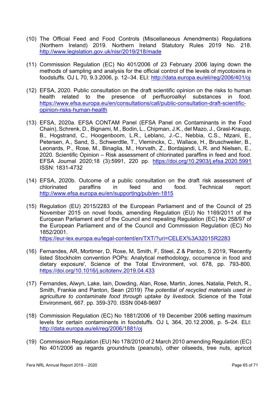- (10) The Official Feed and Food Controls (Miscellaneous Amendments) Regulations (Northern Ireland) 2019. Northern Ireland Statutory Rules 2019 No. 218. http://www.legislation.gov.uk/nisr/2019/218/made
- (11) Commission Regulation (EC) No 401/2006 of 23 February 2006 laying down the methods of sampling and analysis for the official control of the levels of mycotoxins in foodstuffs. OJ L 70, 9.3.2006, p. 12–34. ELI: http://data.europa.eu/eli/reg/2006/401/oj
- (12) EFSA, 2020. Public consultation on the draft scientific opinion on the risks to human health related to the presence of perfluoroalkyl substances in food. https://www.efsa.europa.eu/en/consultations/call/public-consultation-draft-scientificopinion-risks-human-health
- (13) EFSA, 2020a. EFSA CONTAM Panel (EFSA Panel on Contaminants in the Food Chain), Schrenk, D., Bignami, M., Bodin, L., Chipman, J.K., del Mazo, J., Grasl-Kraupp, B., Hogstrand, C., Hoogenboom, L.R., Leblanc, J.-C., Nebbia, C.S., Ntzani, E., Petersen, A., Sand, S., Schwerdtle, T., Vleminckx, C., Wallace, H., Bruschweiler, B., Leonards, P., Rose, M., Binaglia, M., Horvath, Z., Bordajandi, L.R. and Nielsen, E., 2020. Scientific Opinion – Risk assessment of chlorinated paraffins in feed and food. EFSA Journal 2020;18 (3):5991, 220 pp. https://doi.org/10.2903/j.efsa.2020.5991 ISSN: 1831-4732
- (14) EFSA, 2020b. Outcome of a public consultation on the draft risk assessment of chlorinated paraffins in feed and food. Technical report: http://www.efsa.europa.eu/en/supporting/pub/en-1815
- (15) Regulation (EU) 2015/2283 of the European Parliament and of the Council of 25 November 2015 on novel foods, amending Regulation (EU) No 1169/2011 of the European Parliament and of the Council and repealing Regulation (EC) No 258/97 of the European Parliament and of the Council and Commission Regulation (EC) No 1852/2001.

https://eur-lex.europa.eu/legal-content/en/TXT/?uri=CELEX%3A32015R2283

- (16) Fernandes, AR, Mortimer, D, Rose, M, Smith, F, Steel, Z & Panton, S 2019, 'Recently listed Stockholm convention POPs: Analytical methodology, occurrence in food and dietary exposure', Science of the Total Environment, vol. 678, pp. 793-800. https://doi.org/10.1016/j.scitotenv.2019.04.433
- (17) Fernandes, Alwyn, Lake, Iain, Dowding, Alan, Rose, Martin, Jones, Natalia, Petch, R., Smith, Frankie and Panton, Sean (2019) The potential of recycled materials used in agriculture to contaminate food through uptake by livestock. Science of the Total Environment, 667. pp. 359-370. ISSN 0048-9697
- (18) Commission Regulation (EC) No 1881/2006 of 19 December 2006 setting maximum levels for certain contaminants in foodstuffs. OJ L 364, 20.12.2006, p. 5–24. ELI: http://data.europa.eu/eli/reg/2006/1881/oj
- (19) Commission Regulation (EU) No 178/2010 of 2 March 2010 amending Regulation (EC) No 401/2006 as regards groundnuts (peanuts), other oilseeds, tree nuts, apricot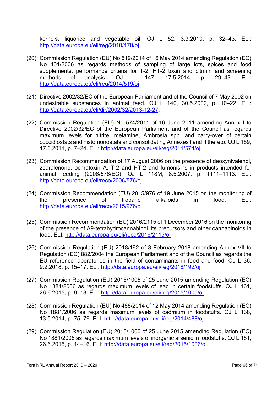kernels, liquorice and vegetable oil. OJ L 52, 3.3.2010, p. 32–43. ELI: http://data.europa.eu/eli/reg/2010/178/oj

- (20) Commission Regulation (EU) No 519/2014 of 16 May 2014 amending Regulation (EC) No 401/2006 as regards methods of sampling of large lots, spices and food supplements, performance criteria for T-2, HT-2 toxin and citrinin and screening methods of analysis. OJ L 147, 17.5.2014, p. 29–43. ELI: http://data.europa.eu/eli/reg/2014/519/oj
- (21) Directive 2002/32/EC of the European Parliament and of the Council of 7 May 2002 on undesirable substances in animal feed. OJ L 140, 30.5.2002, p. 10–22. ELI: http://data.europa.eu/eli/dir/2002/32/2013-12-27.
- (22) Commission Regulation (EU) No 574/2011 of 16 June 2011 amending Annex I to Directive 2002/32/EC of the European Parliament and of the Council as regards maximum levels for nitrite, melamine, Ambrosia spp. and carry-over of certain coccidiostats and histomonostats and consolidating Annexes I and II thereto. OJ L 159, 17.6.2011, p. 7–24. ELI: http://data.europa.eu/eli/reg/2011/574/oj
- (23) Commission Recommendation of 17 August 2006 on the presence of deoxynivalenol, zearalenone, ochratoxin A, T-2 and HT-2 and fumonisins in products intended for animal feeding (2006/576/EC). OJ L 118M, 8.5.2007, p. 1111–1113. ELI: http://data.europa.eu/eli/reco/2006/576/oj
- (24) Commission Recommendation (EU) 2015/976 of 19 June 2015 on the monitoring of the presence of tropane alkaloids in food. ELI: http://data.europa.eu/eli/reco/2015/976/oj
- (25) Commission Recommendation (EU) 2016/2115 of 1 December 2016 on the monitoring of the presence of Δ9-tetrahydrocannabinol, its precursors and other cannabinoids in food. ELI: http://data.europa.eu/eli/reco/2016/2115/oj
- (26) Commission Regulation (EU) 2018/192 of 8 February 2018 amending Annex VII to Regulation (EC) 882/2004 the European Parliament and of the Council as regards the EU reference laboratories in the field of contaminants in feed and food. OJ L 36, 9.2.2018, p. 15–17. ELI: http://data.europa.eu/eli/reg/2018/192/oj
- (27) Commission Regulation (EU) 2015/1005 of 25 June 2015 amending Regulation (EC) No 1881/2006 as regards maximum levels of lead in certain foodstuffs. OJ L 161, 26.6.2015, p. 9–13. ELI: http://data.europa.eu/eli/reg/2015/1005/oj
- (28) Commission Regulation (EU) No 488/2014 of 12 May 2014 amending Regulation (EC) No 1881/2006 as regards maximum levels of cadmium in foodstuffs. OJ L 138, 13.5.2014, p. 75–79. ELI: http://data.europa.eu/eli/reg/2014/488/oj
- (29) Commission Regulation (EU) 2015/1006 of 25 June 2015 amending Regulation (EC) No 1881/2006 as regards maximum levels of inorganic arsenic in foodstuffs. OJ L 161, 26.6.2015, p. 14–16. ELI: http://data.europa.eu/eli/reg/2015/1006/oj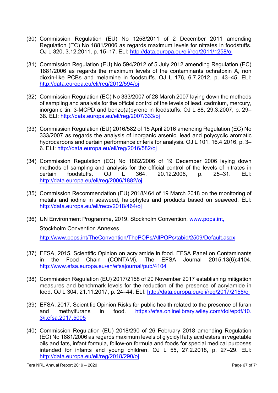- (30) Commission Regulation (EU) No 1258/2011 of 2 December 2011 amending Regulation (EC) No 1881/2006 as regards maximum levels for nitrates in foodstuffs. OJ L 320, 3.12.2011, p. 15–17. ELI: http://data.europa.eu/eli/reg/2011/1258/oj
- (31) Commission Regulation (EU) No 594/2012 of 5 July 2012 amending Regulation (EC) 1881/2006 as regards the maximum levels of the contaminants ochratoxin A, non dioxin-like PCBs and melamine in foodstuffs. OJ L 176, 6.7.2012, p. 43–45. ELI: http://data.europa.eu/eli/reg/2012/594/oj
- (32) Commission Regulation (EC) No 333/2007 of 28 March 2007 laying down the methods of sampling and analysis for the official control of the levels of lead, cadmium, mercury, inorganic tin, 3-MCPD and benzo(a)pyrene in foodstuffs. OJ L 88, 29.3.2007, p. 29– 38. ELI: http://data.europa.eu/eli/reg/2007/333/oj
- (33) Commission Regulation (EU) 2016/582 of 15 April 2016 amending Regulation (EC) No 333/2007 as regards the analysis of inorganic arsenic, lead and polycyclic aromatic hydrocarbons and certain performance criteria for analysis. OJ L 101, 16.4.2016, p. 3– 6. ELI: http://data.europa.eu/eli/reg/2016/582/oj
- (34) Commission Regulation (EC) No 1882/2006 of 19 December 2006 laying down methods of sampling and analysis for the official control of the levels of nitrates in certain foodstuffs. OJ L 364, 20.12.2006, p. 25–31. ELI: http://data.europa.eu/eli/reg/2006/1882/oj
- (35) Commission Recommendation (EU) 2018/464 of 19 March 2018 on the monitoring of metals and iodine in seaweed, halophytes and products based on seaweed. ELI: http://data.europa.eu/eli/reco/2018/464/oj
- (36) UN Environment Programme, 2019. Stockholm Convention, www.pops.int, Stockholm Convention Annexes http://www.pops.int/TheConvention/ThePOPs/AllPOPs/tabid/2509/Default.aspx
- (37) EFSA, 2015. Scientific Opinion on acrylamide in food. EFSA Panel on Contaminants in the Food Chain (CONTAM). The EFSA Journal 2015;13(6):4104. http://www.efsa.europa.eu/en/efsajournal/pub/4104
- (38) Commission Regulation (EU) 2017/2158 of 20 November 2017 establishing mitigation measures and benchmark levels for the reduction of the presence of acrylamide in food. OJ L 304, 21.11.2017, p. 24–44. ELI: http://data.europa.eu/eli/reg/2017/2158/oj
- (39) EFSA, 2017. Scientific Opinion Risks for public health related to the presence of furan and methylfurans in food. https://efsa.onlinelibrary.wiley.com/doi/epdf/10. 3/j.efsa.2017.5005
- (40) Commission Regulation (EU) 2018/290 of 26 February 2018 amending Regulation (EC) No 1881/2006 as regards maximum levels of glycidyl fatty acid esters in vegetable oils and fats, infant formula, follow-on formula and foods for special medical purposes intended for infants and young children. OJ L 55, 27.2.2018, p. 27–29. ELI: http://data.europa.eu/eli/reg/2018/290/oj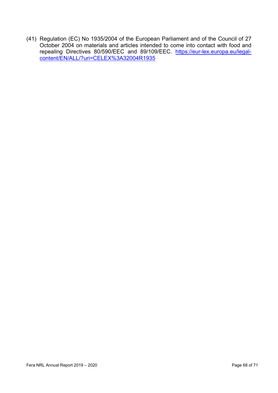(41) Regulation (EC) No 1935/2004 of the European Parliament and of the Council of 27 October 2004 on materials and articles intended to come into contact with food and repealing Directives 80/590/EEC and 89/109/EEC. https://eur-lex.europa.eu/legalcontent/EN/ALL/?uri=CELEX%3A32004R1935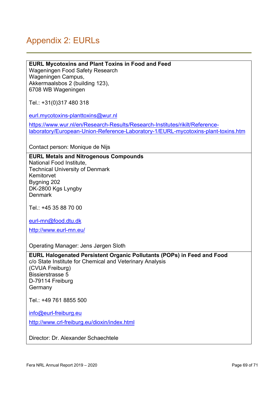## Appendix 2: EURLs

#### EURL Mycotoxins and Plant Toxins in Food and Feed

Wageningen Food Safety Research Wageningen Campus, Akkermaalsbos 2 (building 123), 6708 WB Wageningen

Tel.: +31(0)317 480 318

eurl.mycotoxins-planttoxins@wur.nl

https://www.wur.nl/en/Research-Results/Research-Institutes/rikilt/Referencelaboratory/European-Union-Reference-Laboratory-1/EURL-mycotoxins-plant-toxins.htm

Contact person: Monique de Nijs

#### EURL Metals and Nitrogenous Compounds

National Food Institute, Technical University of Denmark Kemitorvet Bygning 202 DK-2800 Kgs Lyngby **Denmark** 

Tel.: +45 35 88 70 00

eurl-mn@food.dtu.dk

http://www.eurl-mn.eu/

Operating Manager: Jens Jørgen Sloth

EURL Halogenated Persistent Organic Pollutants (POPs) in Feed and Food c/o State Institute for Chemical and Veterinary Analysis (CVUA Freiburg) Bissierstrasse 5 D-79114 Freiburg Germany

Tel.: +49 761 8855 500

info@eurl-freiburg.eu

http://www.crl-freiburg.eu/dioxin/index.html

Director: Dr. Alexander Schaechtele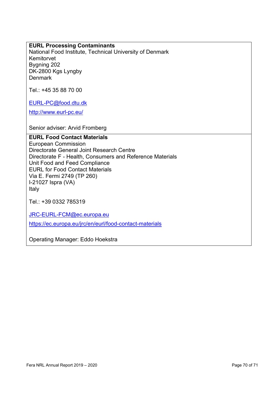#### EURL Processing Contaminants

National Food Institute, Technical University of Denmark Kemitorvet Bygning 202 DK-2800 Kgs Lyngby **Denmark** 

Tel.: +45 35 88 70 00

EURL-PC@food.dtu.dk

http://www.eurl-pc.eu/

Senior adviser: Arvid Fromberg

#### EURL Food Contact Materials

European Commission Directorate General Joint Research Centre Directorate F - Health, Consumers and Reference Materials Unit Food and Feed Compliance EURL for Food Contact Materials Via E. Fermi 2749 (TP 260) I-21027 Ispra (VA) Italy

Tel.: +39 0332 785319

JRC-EURL-FCM@ec.europa.eu

https://ec.europa.eu/jrc/en/eurl/food-contact-materials

Operating Manager: Eddo Hoekstra